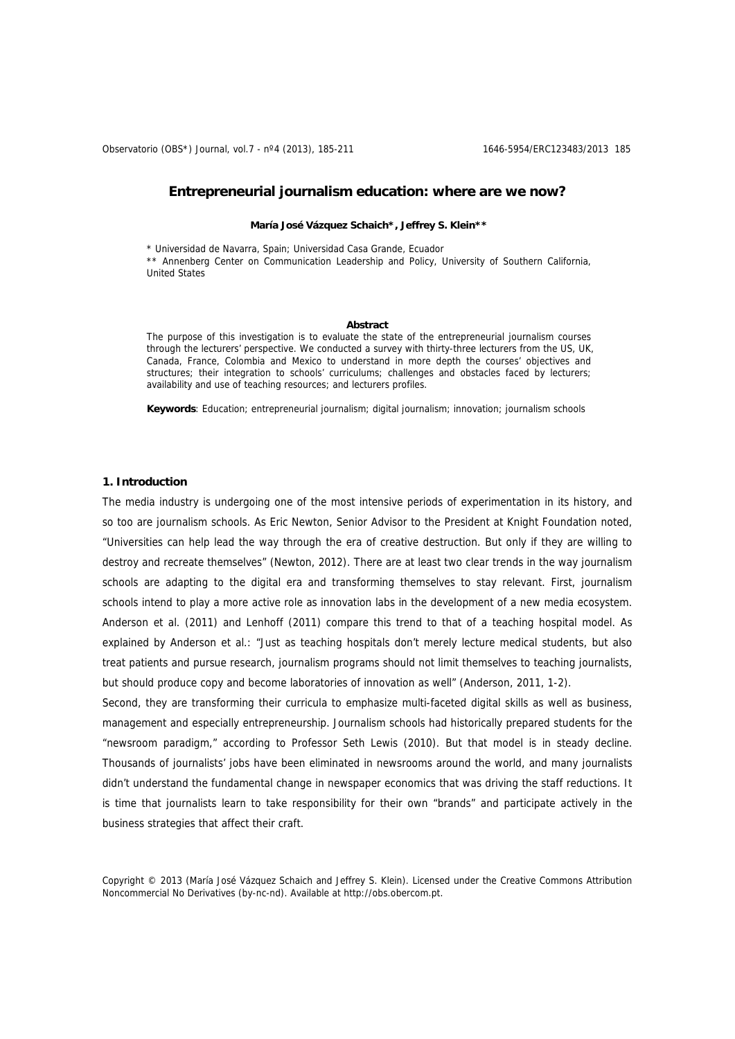Observatorio (OBS\*) Journal, vol.7 - nº4 (2013), 185-211 1652 1646-5954/ERC123483/2013 185

# **Entrepreneurial journalism education: where are we now?**

#### **María José Vázquez Schaich\*, Jeffrey S. Klein\*\***

\* Universidad de Navarra, Spain; Universidad Casa Grande, Ecuador \*\* Annenberg Center on Communication Leadership and Policy, University of Southern California, United States

#### **Abstract**

The purpose of this investigation is to evaluate the state of the entrepreneurial journalism courses through the lecturers' perspective. We conducted a survey with thirty-three lecturers from the US, UK, Canada, France, Colombia and Mexico to understand in more depth the courses' objectives and structures; their integration to schools' curriculums; challenges and obstacles faced by lecturers; availability and use of teaching resources; and lecturers profiles.

**Keywords**: Education; entrepreneurial journalism; digital journalism; innovation; journalism schools

# **1. Introduction**

The media industry is undergoing one of the most intensive periods of experimentation in its history, and so too are journalism schools. As Eric Newton, Senior Advisor to the President at Knight Foundation noted, "Universities can help lead the way through the era of creative destruction. But only if they are willing to destroy and recreate themselves" (Newton, 2012). There are at least two clear trends in the way journalism schools are adapting to the digital era and transforming themselves to stay relevant. First, journalism schools intend to play a more active role as innovation labs in the development of a new media ecosystem. Anderson et al. (2011) and Lenhoff (2011) compare this trend to that of a teaching hospital model. As explained by Anderson et al.: "Just as teaching hospitals don't merely lecture medical students, but also treat patients and pursue research, journalism programs should not limit themselves to teaching journalists, but should produce copy and become laboratories of innovation as well" (Anderson, 2011, 1-2).

Second, they are transforming their curricula to emphasize multi-faceted digital skills as well as business, management and especially entrepreneurship. Journalism schools had historically prepared students for the "newsroom paradigm," according to Professor Seth Lewis (2010). But that model is in steady decline. Thousands of journalists' jobs have been eliminated in newsrooms around the world, and many journalists didn't understand the fundamental change in newspaper economics that was driving the staff reductions. It is time that journalists learn to take responsibility for their own "brands" and participate actively in the business strategies that affect their craft.

Copyright © 2013 (María José Vázquez Schaich and Jeffrey S. Klein). Licensed under the Creative Commons Attribution Noncommercial No Derivatives (by-nc-nd). Available at http://obs.obercom.pt.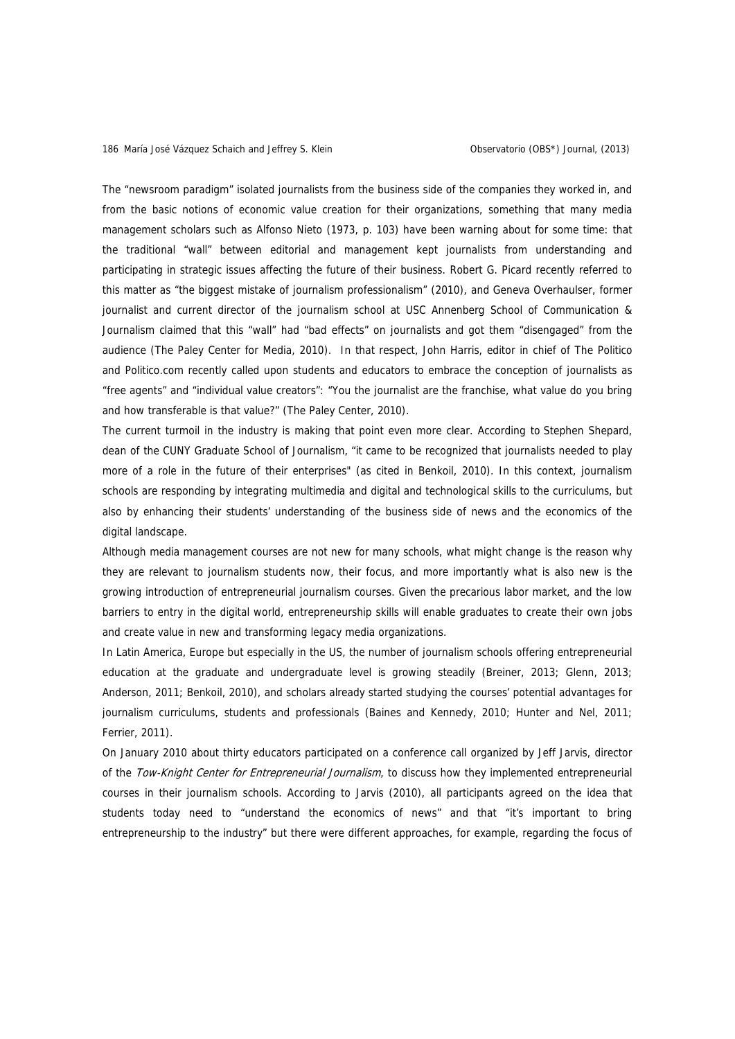The "newsroom paradigm" isolated journalists from the business side of the companies they worked in, and from the basic notions of economic value creation for their organizations, something that many media management scholars such as Alfonso Nieto (1973, p. 103) have been warning about for some time: that the traditional "wall" between editorial and management kept journalists from understanding and participating in strategic issues affecting the future of their business. Robert G. Picard recently referred to this matter as "the biggest mistake of journalism professionalism" (2010), and Geneva Overhaulser, former journalist and current director of the journalism school at USC Annenberg School of Communication & Journalism claimed that this "wall" had "bad effects" on journalists and got them "disengaged" from the audience (The Paley Center for Media, 2010). In that respect, John Harris, editor in chief of The Politico and Politico.com recently called upon students and educators to embrace the conception of journalists as "free agents" and "individual value creators": "You the journalist are the franchise, what value do you bring and how transferable is that value?" (The Paley Center, 2010).

The current turmoil in the industry is making that point even more clear. According to Stephen Shepard, dean of the CUNY Graduate School of Journalism, "it came to be recognized that journalists needed to play more of a role in the future of their enterprises" (as cited in Benkoil, 2010). In this context, journalism schools are responding by integrating multimedia and digital and technological skills to the curriculums, but also by enhancing their students' understanding of the business side of news and the economics of the digital landscape.

Although media management courses are not new for many schools, what might change is the reason why they are relevant to journalism students now, their focus, and more importantly what is also new is the growing introduction of entrepreneurial journalism courses. Given the precarious labor market, and the low barriers to entry in the digital world, entrepreneurship skills will enable graduates to create their own jobs and create value in new and transforming legacy media organizations.

In Latin America, Europe but especially in the US, the number of journalism schools offering entrepreneurial education at the graduate and undergraduate level is growing steadily (Breiner, 2013; Glenn, 2013; Anderson, 2011; Benkoil, 2010), and scholars already started studying the courses' potential advantages for journalism curriculums, students and professionals (Baines and Kennedy, 2010; Hunter and Nel, 2011; Ferrier, 2011).

On January 2010 about thirty educators participated on a conference call organized by Jeff Jarvis, director of the Tow-Knight Center for Entrepreneurial Journalism, to discuss how they implemented entrepreneurial courses in their journalism schools. According to Jarvis (2010), all participants agreed on the idea that students today need to "understand the economics of news" and that "it's important to bring entrepreneurship to the industry" but there were different approaches, for example, regarding the focus of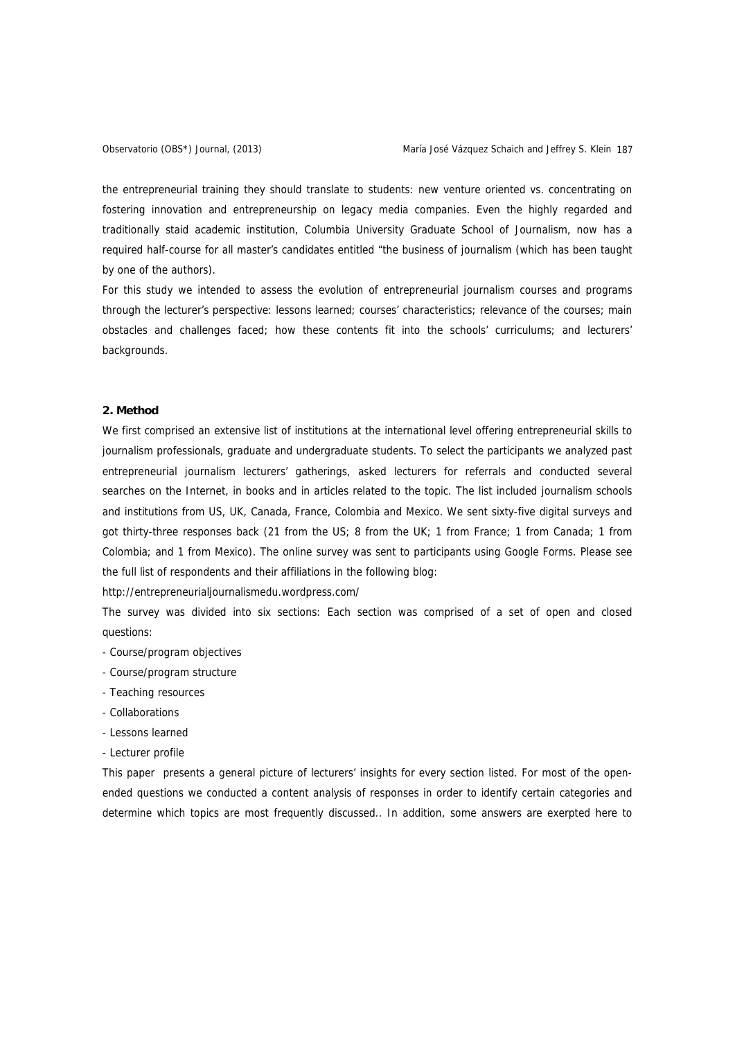the entrepreneurial training they should translate to students: new venture oriented vs. concentrating on fostering innovation and entrepreneurship on legacy media companies. Even the highly regarded and traditionally staid academic institution, Columbia University Graduate School of Journalism, now has a required half-course for all master's candidates entitled "the business of journalism (which has been taught by one of the authors).

For this study we intended to assess the evolution of entrepreneurial journalism courses and programs through the lecturer's perspective: lessons learned; courses' characteristics; relevance of the courses; main obstacles and challenges faced; how these contents fit into the schools' curriculums; and lecturers' backgrounds.

# **2. Method**

We first comprised an extensive list of institutions at the international level offering entrepreneurial skills to journalism professionals, graduate and undergraduate students. To select the participants we analyzed past entrepreneurial journalism lecturers' gatherings, asked lecturers for referrals and conducted several searches on the Internet, in books and in articles related to the topic. The list included journalism schools and institutions from US, UK, Canada, France, Colombia and Mexico. We sent sixty-five digital surveys and got thirty-three responses back (21 from the US; 8 from the UK; 1 from France; 1 from Canada; 1 from Colombia; and 1 from Mexico). The online survey was sent to participants using Google Forms. Please see the full list of respondents and their affiliations in the following blog:

http://entrepreneurialjournalismedu.wordpress.com/

The survey was divided into six sections: Each section was comprised of a set of open and closed questions:

- Course/program objectives
- Course/program structure
- Teaching resources
- Collaborations
- Lessons learned
- Lecturer profile

This paper presents a general picture of lecturers' insights for every section listed. For most of the openended questions we conducted a content analysis of responses in order to identify certain categories and determine which topics are most frequently discussed.. In addition, some answers are exerpted here to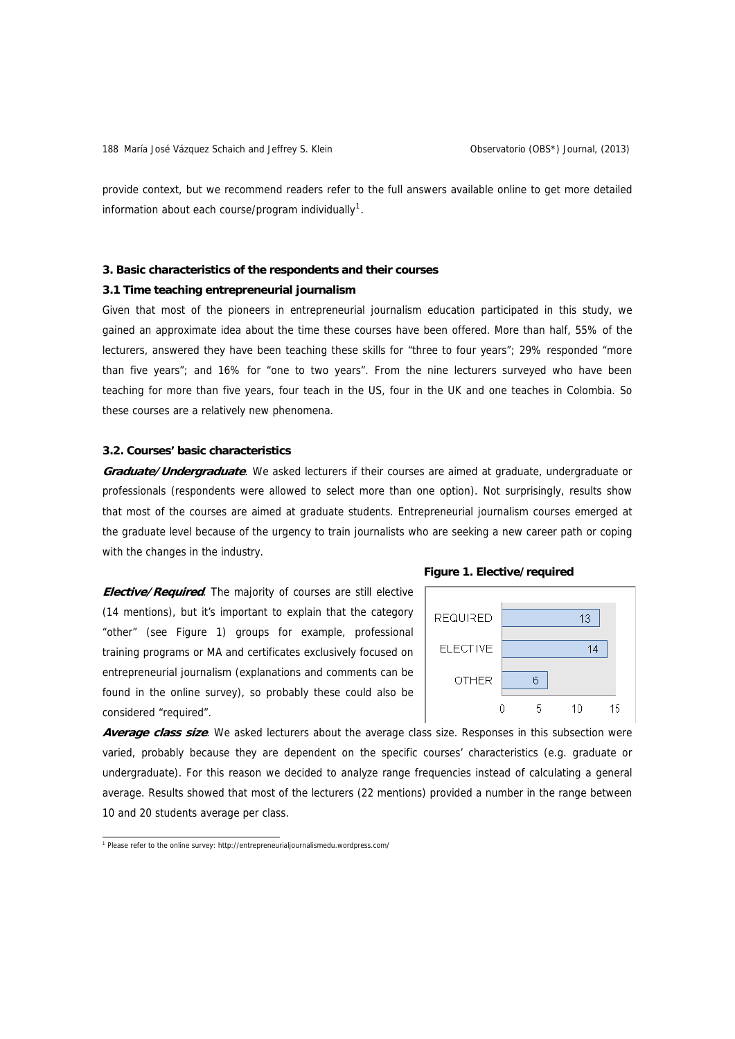provide context, but we recommend readers refer to the full answers available online to get more detailed information about each course/program individually<sup>[1](#page-3-0)</sup>.

#### **3. Basic characteristics of the respondents and their courses**

# **3.1 Time teaching entrepreneurial journalism**

Given that most of the pioneers in entrepreneurial journalism education participated in this study, we gained an approximate idea about the time these courses have been offered. More than half, 55% of the lecturers, answered they have been teaching these skills for "three to four years"; 29% responded "more than five years"; and 16% for "one to two years". From the nine lecturers surveyed who have been teaching for more than five years, four teach in the US, four in the UK and one teaches in Colombia. So these courses are a relatively new phenomena.

# **3.2. Courses' basic characteristics**

**Graduate/Undergraduate**. We asked lecturers if their courses are aimed at graduate, undergraduate or professionals (respondents were allowed to select more than one option). Not surprisingly, results show that most of the courses are aimed at graduate students. Entrepreneurial journalism courses emerged at the graduate level because of the urgency to train journalists who are seeking a new career path or coping with the changes in the industry.

**Elective/Required**. The majority of courses are still elective (14 mentions), but it's important to explain that the category "other" (see Figure 1) groups for example, professional training programs or MA and certificates exclusively focused on entrepreneurial journalism (explanations and comments can be found in the online survey), so probably these could also be considered "required".





**Average class size**. We asked lecturers about the average class size. Responses in this subsection were varied, probably because they are dependent on the specific courses' characteristics (e.g. graduate or undergraduate). For this reason we decided to analyze range frequencies instead of calculating a general average. Results showed that most of the lecturers (22 mentions) provided a number in the range between 10 and 20 students average per class.

<span id="page-3-0"></span><sup>&</sup>lt;sup>1</sup> Please refer to the online survey: http://entrepreneurialjournalismedu.wordpress.com/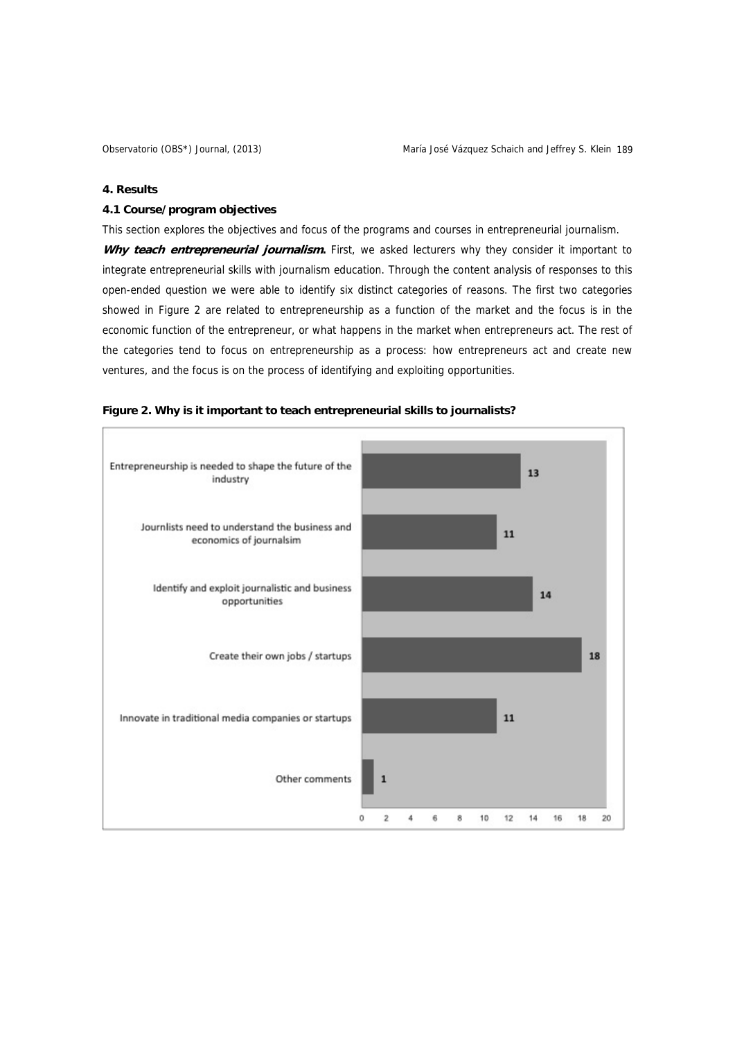# **4. Results**

# **4.1 Course/program objectives**

This section explores the objectives and focus of the programs and courses in entrepreneurial journalism. Why teach entrepreneurial journalism. First, we asked lecturers why they consider it important to integrate entrepreneurial skills with journalism education. Through the content analysis of responses to this open-ended question we were able to identify six distinct categories of reasons. The first two categories showed in Figure 2 are related to entrepreneurship as a function of the market and the focus is in the economic function of the entrepreneur, or what happens in the market when entrepreneurs act. The rest of the categories tend to focus on entrepreneurship as a process: how entrepreneurs act and create new ventures, and the focus is on the process of identifying and exploiting opportunities.



## **Figure 2. Why is it important to teach entrepreneurial skills to journalists?**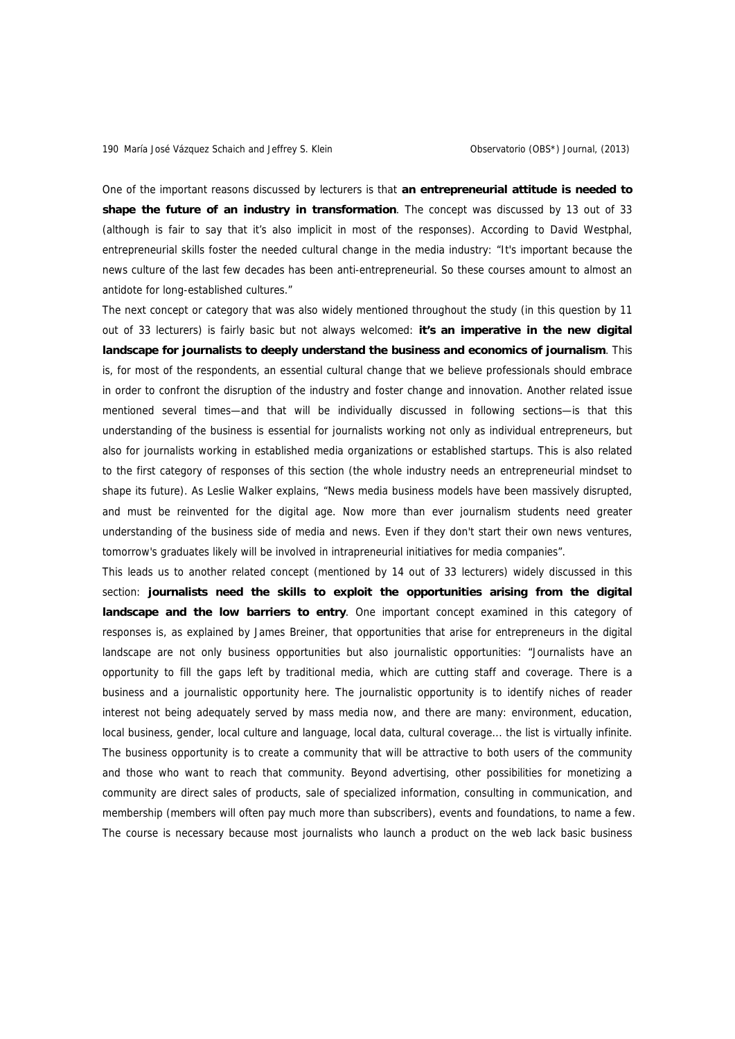One of the important reasons discussed by lecturers is that **an entrepreneurial attitude is needed to shape the future of an industry in transformation**. The concept was discussed by 13 out of 33 (although is fair to say that it's also implicit in most of the responses). According to David Westphal, entrepreneurial skills foster the needed cultural change in the media industry: "It's important because the news culture of the last few decades has been anti-entrepreneurial. So these courses amount to almost an antidote for long-established cultures."

The next concept or category that was also widely mentioned throughout the study (in this question by 11 out of 33 lecturers) is fairly basic but not always welcomed: **it's an imperative in the new digital landscape for journalists to deeply understand the business and economics of journalism**. This is, for most of the respondents, an essential cultural change that we believe professionals should embrace in order to confront the disruption of the industry and foster change and innovation. Another related issue mentioned several times—and that will be individually discussed in following sections—is that this understanding of the business is essential for journalists working not only as individual entrepreneurs, but also for journalists working in established media organizations or established startups. This is also related to the first category of responses of this section (the whole industry needs an entrepreneurial mindset to shape its future). As Leslie Walker explains, "News media business models have been massively disrupted, and must be reinvented for the digital age. Now more than ever journalism students need greater understanding of the business side of media and news. Even if they don't start their own news ventures, tomorrow's graduates likely will be involved in intrapreneurial initiatives for media companies".

This leads us to another related concept (mentioned by 14 out of 33 lecturers) widely discussed in this section: **journalists need the skills to exploit the opportunities arising from the digital landscape and the low barriers to entry**. One important concept examined in this category of responses is, as explained by James Breiner, that opportunities that arise for entrepreneurs in the digital landscape are not only business opportunities but also journalistic opportunities: "Journalists have an opportunity to fill the gaps left by traditional media, which are cutting staff and coverage. There is a business and a journalistic opportunity here. The journalistic opportunity is to identify niches of reader interest not being adequately served by mass media now, and there are many: environment, education, local business, gender, local culture and language, local data, cultural coverage... the list is virtually infinite. The business opportunity is to create a community that will be attractive to both users of the community and those who want to reach that community. Beyond advertising, other possibilities for monetizing a community are direct sales of products, sale of specialized information, consulting in communication, and membership (members will often pay much more than subscribers), events and foundations, to name a few. The course is necessary because most journalists who launch a product on the web lack basic business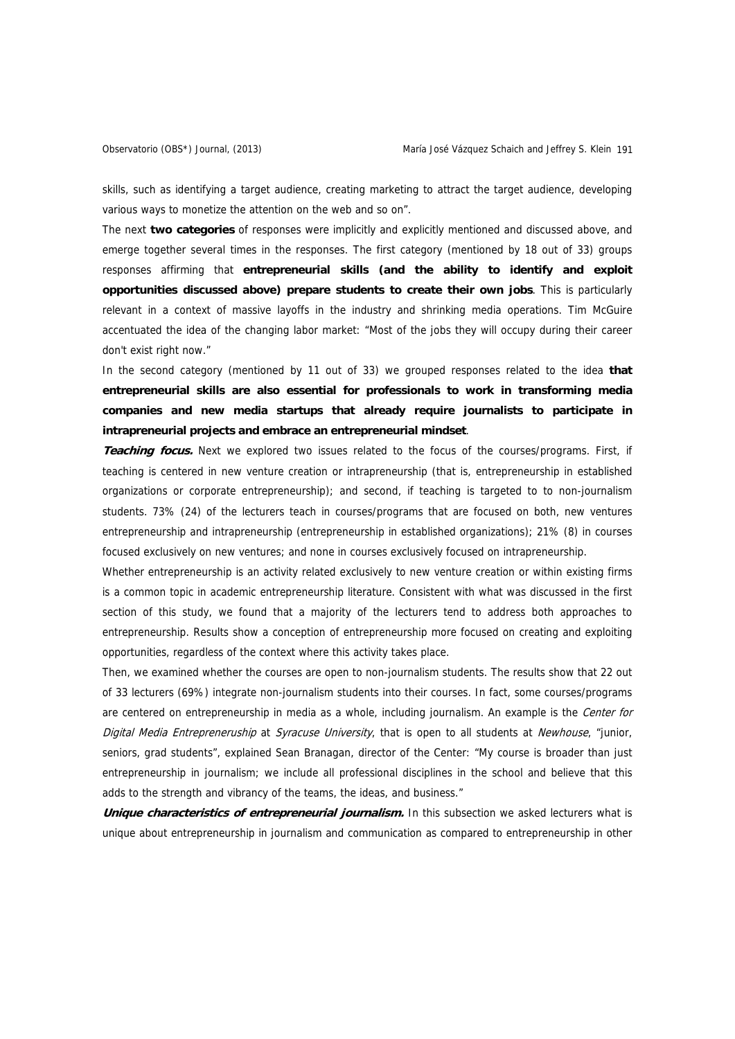skills, such as identifying a target audience, creating marketing to attract the target audience, developing various ways to monetize the attention on the web and so on".

The next **two categories** of responses were implicitly and explicitly mentioned and discussed above, and emerge together several times in the responses. The first category (mentioned by 18 out of 33) groups responses affirming that **entrepreneurial skills (and the ability to identify and exploit opportunities discussed above) prepare students to create their own jobs**. This is particularly relevant in a context of massive layoffs in the industry and shrinking media operations. Tim McGuire accentuated the idea of the changing labor market: "Most of the jobs they will occupy during their career don't exist right now."

In the second category (mentioned by 11 out of 33) we grouped responses related to the idea **that entrepreneurial skills are also essential for professionals to work in transforming media companies and new media startups that already require journalists to participate in intrapreneurial projects and embrace an entrepreneurial mindset**.

**Teaching focus.** Next we explored two issues related to the focus of the courses/programs. First, if teaching is centered in new venture creation or intrapreneurship (that is, entrepreneurship in established organizations or corporate entrepreneurship); and second, if teaching is targeted to to non-journalism students. 73% (24) of the lecturers teach in courses/programs that are focused on both, new ventures entrepreneurship and intrapreneurship (entrepreneurship in established organizations); 21% (8) in courses focused exclusively on new ventures; and none in courses exclusively focused on intrapreneurship.

Whether entrepreneurship is an activity related exclusively to new venture creation or within existing firms is a common topic in academic entrepreneurship literature. Consistent with what was discussed in the first section of this study, we found that a majority of the lecturers tend to address both approaches to entrepreneurship. Results show a conception of entrepreneurship more focused on creating and exploiting opportunities, regardless of the context where this activity takes place.

Then, we examined whether the courses are open to non-journalism students. The results show that 22 out of 33 lecturers (69%) integrate non-journalism students into their courses. In fact, some courses/programs are centered on entrepreneurship in media as a whole, including journalism. An example is the Center for Digital Media Entrepreneruship at Syracuse University, that is open to all students at Newhouse, "junior, seniors, grad students", explained Sean Branagan, director of the Center: "My course is broader than just entrepreneurship in journalism; we include all professional disciplines in the school and believe that this adds to the strength and vibrancy of the teams, the ideas, and business."

**Unique characteristics of entrepreneurial journalism.** In this subsection we asked lecturers what is unique about entrepreneurship in journalism and communication as compared to entrepreneurship in other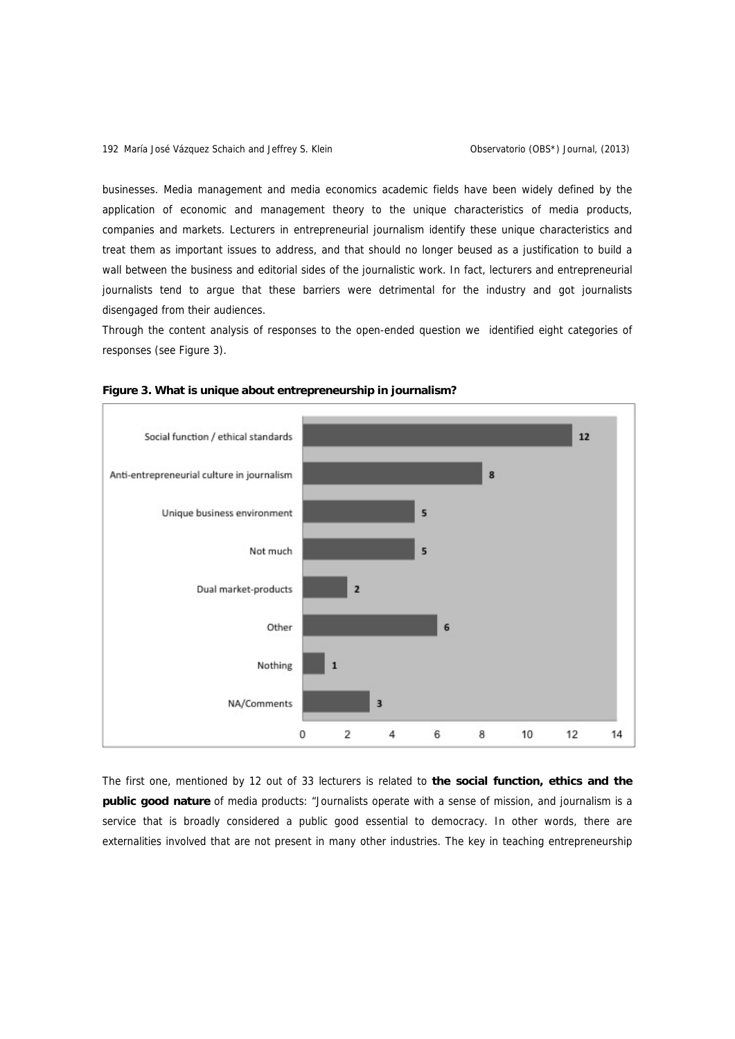businesses. Media management and media economics academic fields have been widely defined by the application of economic and management theory to the unique characteristics of media products, companies and markets. Lecturers in entrepreneurial journalism identify these unique characteristics and treat them as important issues to address, and that should no longer beused as a justification to build a wall between the business and editorial sides of the journalistic work. In fact, lecturers and entrepreneurial journalists tend to argue that these barriers were detrimental for the industry and got journalists disengaged from their audiences.

Through the content analysis of responses to the open-ended question we identified eight categories of responses (see Figure 3).





The first one, mentioned by 12 out of 33 lecturers is related to **the social function, ethics and the public good nature** of media products: "Journalists operate with a sense of mission, and journalism is a service that is broadly considered a public good essential to democracy. In other words, there are externalities involved that are not present in many other industries. The key in teaching entrepreneurship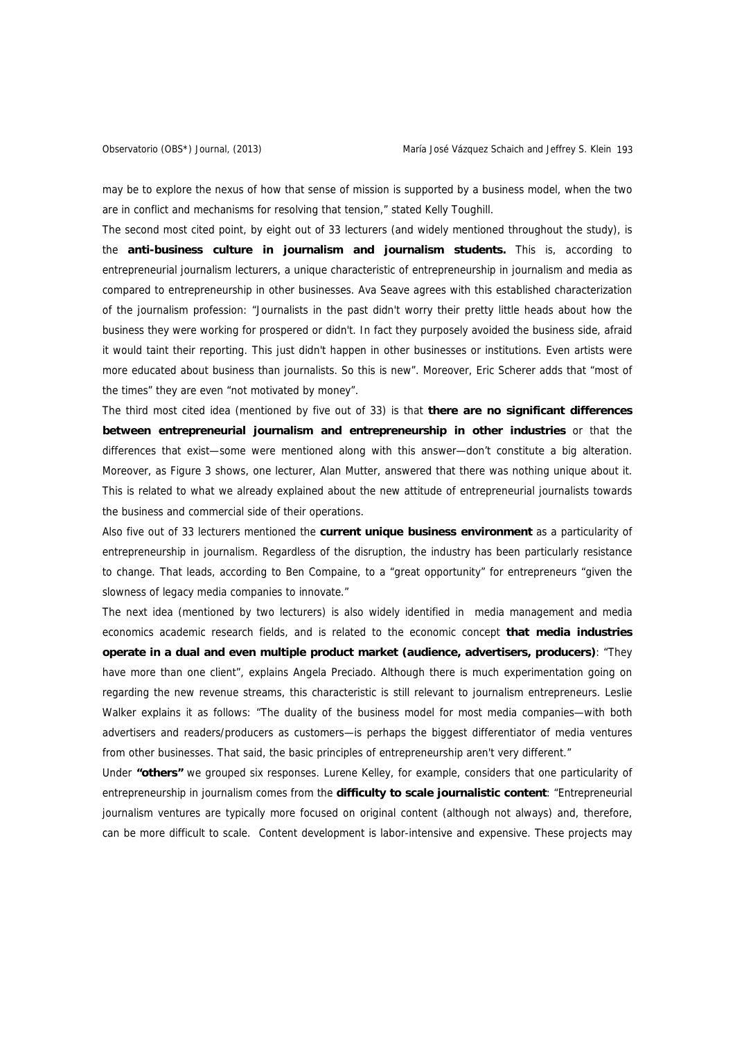may be to explore the nexus of how that sense of mission is supported by a business model, when the two are in conflict and mechanisms for resolving that tension," stated Kelly Toughill.

The second most cited point, by eight out of 33 lecturers (and widely mentioned throughout the study), is the **anti-business culture in journalism and journalism students.** This is, according to entrepreneurial journalism lecturers, a unique characteristic of entrepreneurship in journalism and media as compared to entrepreneurship in other businesses. Ava Seave agrees with this established characterization of the journalism profession: "Journalists in the past didn't worry their pretty little heads about how the business they were working for prospered or didn't. In fact they purposely avoided the business side, afraid it would taint their reporting. This just didn't happen in other businesses or institutions. Even artists were more educated about business than journalists. So this is new". Moreover, Eric Scherer adds that "most of the times" they are even "not motivated by money".

The third most cited idea (mentioned by five out of 33) is that **there are no significant differences between entrepreneurial journalism and entrepreneurship in other industries** or that the differences that exist—some were mentioned along with this answer—don't constitute a big alteration. Moreover, as Figure 3 shows, one lecturer, Alan Mutter, answered that there was nothing unique about it. This is related to what we already explained about the new attitude of entrepreneurial journalists towards the business and commercial side of their operations.

Also five out of 33 lecturers mentioned the **current unique business environment** as a particularity of entrepreneurship in journalism. Regardless of the disruption, the industry has been particularly resistance to change. That leads, according to Ben Compaine, to a "great opportunity" for entrepreneurs "given the slowness of legacy media companies to innovate."

The next idea (mentioned by two lecturers) is also widely identified in media management and media economics academic research fields, and is related to the economic concept **that media industries operate in a dual and even multiple product market (audience, advertisers, producers)**: "They have more than one client", explains Angela Preciado. Although there is much experimentation going on regarding the new revenue streams, this characteristic is still relevant to journalism entrepreneurs. Leslie Walker explains it as follows: "The duality of the business model for most media companies—with both advertisers and readers/producers as customers—is perhaps the biggest differentiator of media ventures from other businesses. That said, the basic principles of entrepreneurship aren't very different."

Under **"others"** we grouped six responses. Lurene Kelley, for example, considers that one particularity of entrepreneurship in journalism comes from the **difficulty to scale journalistic content**: "Entrepreneurial journalism ventures are typically more focused on original content (although not always) and, therefore, can be more difficult to scale. Content development is labor-intensive and expensive. These projects may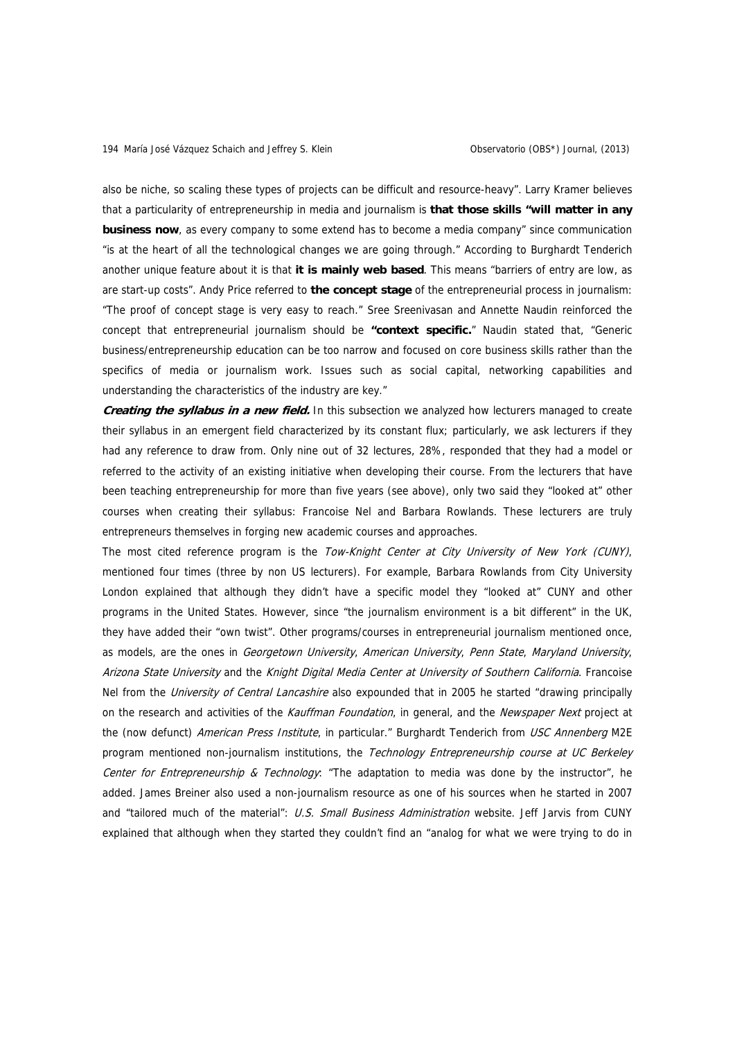also be niche, so scaling these types of projects can be difficult and resource-heavy". Larry Kramer believes that a particularity of entrepreneurship in media and journalism is **that those skills "will matter in any business now**, as every company to some extend has to become a media company" since communication "is at the heart of all the technological changes we are going through." According to Burghardt Tenderich another unique feature about it is that **it is mainly web based**. This means "barriers of entry are low, as are start-up costs". Andy Price referred to **the concept stage** of the entrepreneurial process in journalism: "The proof of concept stage is very easy to reach." Sree Sreenivasan and Annette Naudin reinforced the concept that entrepreneurial journalism should be **"context specific.**" Naudin stated that, "Generic business/entrepreneurship education can be too narrow and focused on core business skills rather than the specifics of media or journalism work. Issues such as social capital, networking capabilities and understanding the characteristics of the industry are key."

**Creating the syllabus in a new field.** In this subsection we analyzed how lecturers managed to create their syllabus in an emergent field characterized by its constant flux; particularly, we ask lecturers if they had any reference to draw from. Only nine out of 32 lectures, 28%, responded that they had a model or referred to the activity of an existing initiative when developing their course. From the lecturers that have been teaching entrepreneurship for more than five years (see above), only two said they "looked at" other courses when creating their syllabus: Francoise Nel and Barbara Rowlands. These lecturers are truly entrepreneurs themselves in forging new academic courses and approaches.

The most cited reference program is the Tow-Knight Center at City University of New York (CUNY), mentioned four times (three by non US lecturers). For example, Barbara Rowlands from City University London explained that although they didn't have a specific model they "looked at" CUNY and other programs in the United States. However, since "the journalism environment is a bit different" in the UK, they have added their "own twist". Other programs/courses in entrepreneurial journalism mentioned once, as models, are the ones in Georgetown University, American University, Penn State, Maryland University, Arizona State University and the Knight Digital Media Center at University of Southern California. Francoise Nel from the *University of Central Lancashire* also expounded that in 2005 he started "drawing principally on the research and activities of the Kauffman Foundation, in general, and the Newspaper Next project at the (now defunct) American Press Institute, in particular." Burghardt Tenderich from USC Annenberg M2E program mentioned non-journalism institutions, the Technology Entrepreneurship course at UC Berkeley Center for Entrepreneurship & Technology: "The adaptation to media was done by the instructor", he added. James Breiner also used a non-journalism resource as one of his sources when he started in 2007 and "tailored much of the material": U.S. Small Business Administration website. Jeff Jarvis from CUNY explained that although when they started they couldn't find an "analog for what we were trying to do in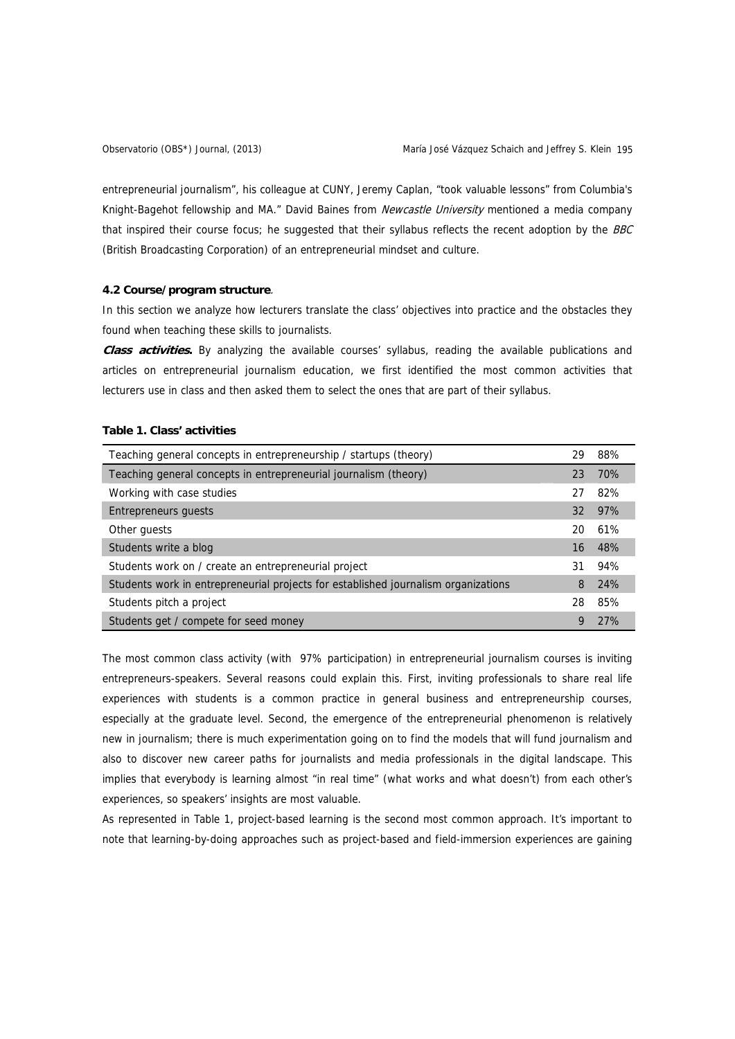entrepreneurial journalism", his colleague at CUNY, Jeremy Caplan, "took valuable lessons" from Columbia's Knight-Bagehot fellowship and MA." David Baines from Newcastle University mentioned a media company that inspired their course focus; he suggested that their syllabus reflects the recent adoption by the BBC (British Broadcasting Corporation) of an entrepreneurial mindset and culture.

# **4.2 Course/program structure**.

In this section we analyze how lecturers translate the class' objectives into practice and the obstacles they found when teaching these skills to journalists.

**Class activities.** By analyzing the available courses' syllabus, reading the available publications and articles on entrepreneurial journalism education, we first identified the most common activities that lecturers use in class and then asked them to select the ones that are part of their syllabus.

# **Table 1. Class' activities**

| Teaching general concepts in entrepreneurship / startups (theory)                  | 29 | 88% |
|------------------------------------------------------------------------------------|----|-----|
| Teaching general concepts in entrepreneurial journalism (theory)                   | 23 | 70% |
| Working with case studies                                                          | 27 | 82% |
| <b>Entrepreneurs guests</b>                                                        | 32 | 97% |
| Other quests                                                                       | 20 | 61% |
| Students write a blog                                                              | 16 | 48% |
| Students work on / create an entrepreneurial project                               | 31 | 94% |
| Students work in entrepreneurial projects for established journalism organizations | 8  | 24% |
| Students pitch a project                                                           | 28 | 85% |
| Students get / compete for seed money                                              | 9  | 27% |

The most common class activity (with 97% participation) in entrepreneurial journalism courses is inviting entrepreneurs-speakers. Several reasons could explain this. First, inviting professionals to share real life experiences with students is a common practice in general business and entrepreneurship courses, especially at the graduate level. Second, the emergence of the entrepreneurial phenomenon is relatively new in journalism; there is much experimentation going on to find the models that will fund journalism and also to discover new career paths for journalists and media professionals in the digital landscape. This implies that everybody is learning almost "in real time" (what works and what doesn't) from each other's experiences, so speakers' insights are most valuable.

As represented in Table 1, project-based learning is the second most common approach. It's important to note that learning-by-doing approaches such as project-based and field-immersion experiences are gaining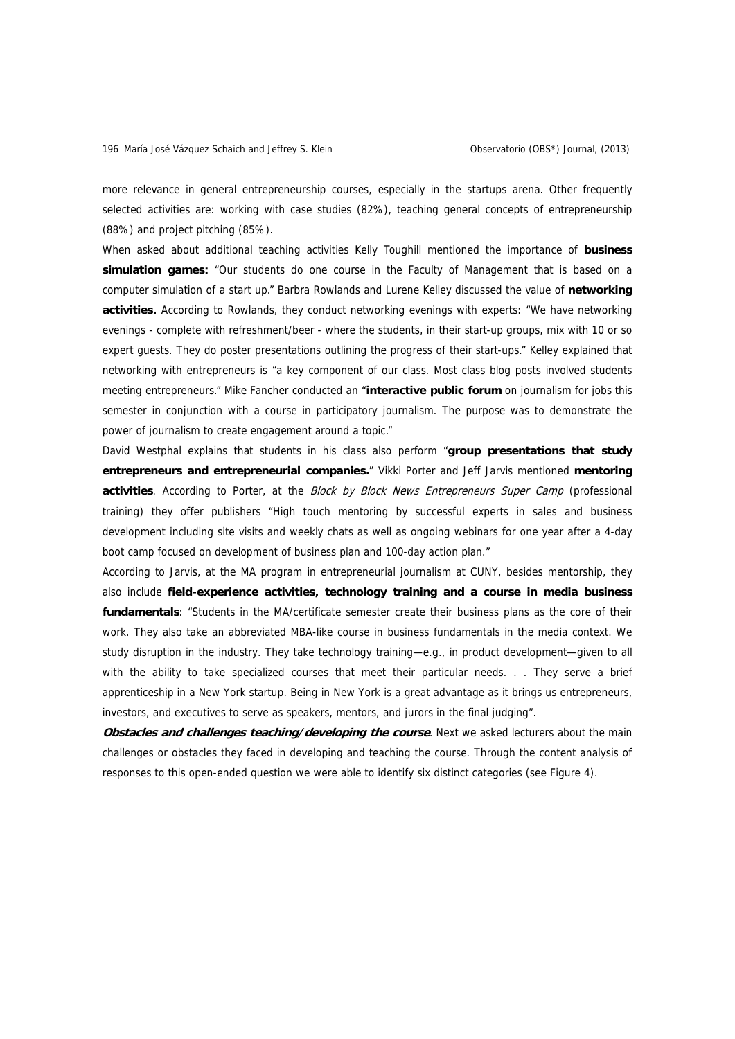more relevance in general entrepreneurship courses, especially in the startups arena. Other frequently selected activities are: working with case studies (82%), teaching general concepts of entrepreneurship (88%) and project pitching (85%).

When asked about additional teaching activities Kelly Toughill mentioned the importance of **business simulation games:** "Our students do one course in the Faculty of Management that is based on a computer simulation of a start up." Barbra Rowlands and Lurene Kelley discussed the value of **networking activities.** According to Rowlands, they conduct networking evenings with experts: "We have networking evenings - complete with refreshment/beer - where the students, in their start-up groups, mix with 10 or so expert guests. They do poster presentations outlining the progress of their start-ups." Kelley explained that networking with entrepreneurs is "a key component of our class. Most class blog posts involved students meeting entrepreneurs." Mike Fancher conducted an "**interactive public forum** on journalism for jobs this semester in conjunction with a course in participatory journalism. The purpose was to demonstrate the power of journalism to create engagement around a topic."

David Westphal explains that students in his class also perform "**group presentations that study entrepreneurs and entrepreneurial companies.**" Vikki Porter and Jeff Jarvis mentioned **mentoring activities**. According to Porter, at the Block by Block News Entrepreneurs Super Camp (professional training) they offer publishers "High touch mentoring by successful experts in sales and business development including site visits and weekly chats as well as ongoing webinars for one year after a 4-day boot camp focused on development of business plan and 100-day action plan."

According to Jarvis, at the MA program in entrepreneurial journalism at CUNY, besides mentorship, they also include **field-experience activities, technology training and a course in media business fundamentals**: "Students in the MA/certificate semester create their business plans as the core of their work. They also take an abbreviated MBA-like course in business fundamentals in the media context. We study disruption in the industry. They take technology training—e.g., in product development—given to all with the ability to take specialized courses that meet their particular needs. . . They serve a brief apprenticeship in a New York startup. Being in New York is a great advantage as it brings us entrepreneurs, investors, and executives to serve as speakers, mentors, and jurors in the final judging".

**Obstacles and challenges teaching/developing the course**. Next we asked lecturers about the main challenges or obstacles they faced in developing and teaching the course. Through the content analysis of responses to this open-ended question we were able to identify six distinct categories (see Figure 4).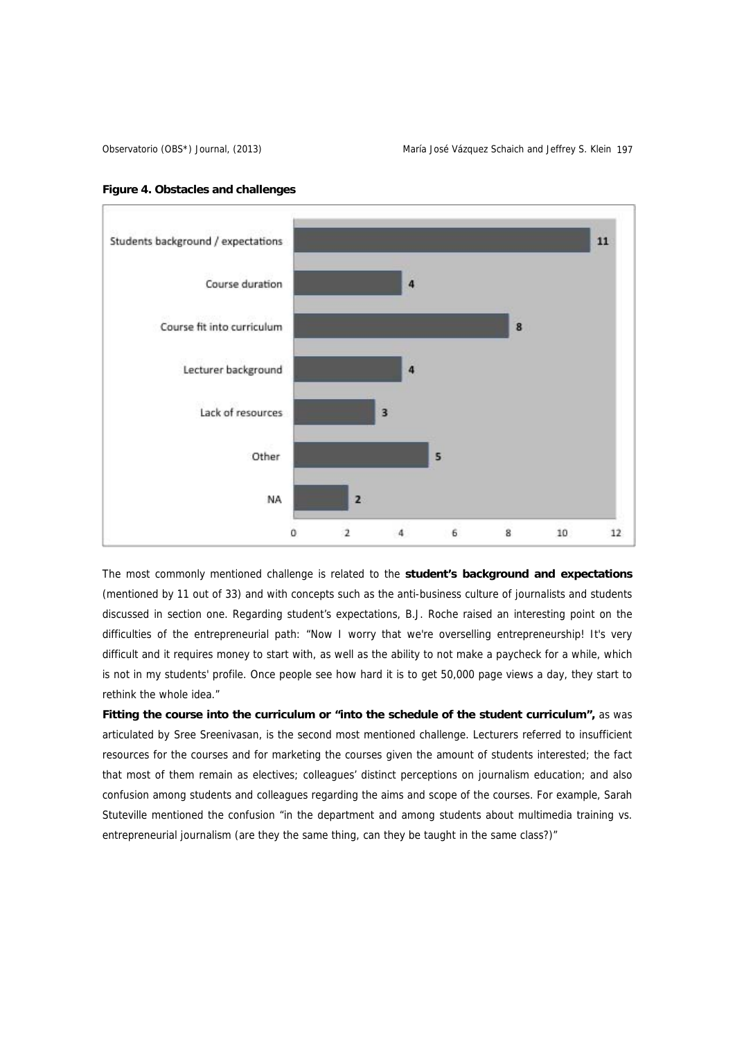



The most commonly mentioned challenge is related to the **student's background and expectations** (mentioned by 11 out of 33) and with concepts such as the anti-business culture of journalists and students discussed in section one. Regarding student's expectations, B.J. Roche raised an interesting point on the difficulties of the entrepreneurial path: "Now I worry that we're overselling entrepreneurship! It's very difficult and it requires money to start with, as well as the ability to not make a paycheck for a while, which is not in my students' profile. Once people see how hard it is to get 50,000 page views a day, they start to rethink the whole idea."

Fitting the course into the curriculum or "into the schedule of the student curriculum", as was articulated by Sree Sreenivasan, is the second most mentioned challenge. Lecturers referred to insufficient resources for the courses and for marketing the courses given the amount of students interested; the fact that most of them remain as electives; colleagues' distinct perceptions on journalism education; and also confusion among students and colleagues regarding the aims and scope of the courses. For example, Sarah Stuteville mentioned the confusion "in the department and among students about multimedia training vs. entrepreneurial journalism (are they the same thing, can they be taught in the same class?)"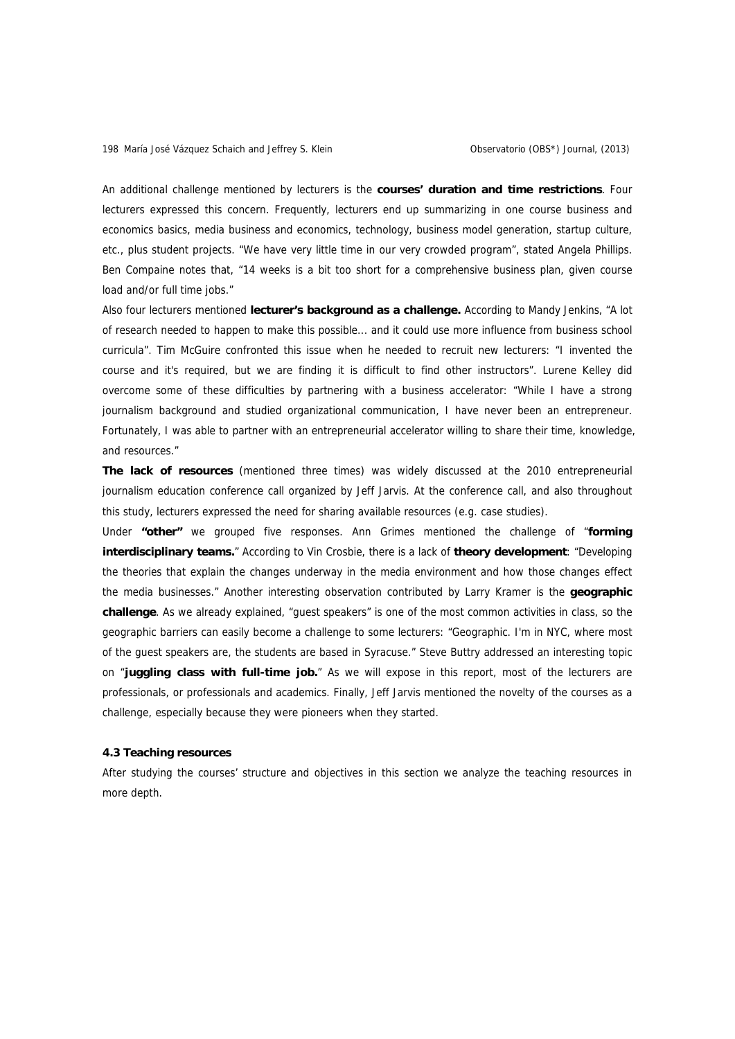An additional challenge mentioned by lecturers is the **courses' duration and time restrictions**. Four lecturers expressed this concern. Frequently, lecturers end up summarizing in one course business and economics basics, media business and economics, technology, business model generation, startup culture, etc., plus student projects. "We have very little time in our very crowded program", stated Angela Phillips. Ben Compaine notes that, "14 weeks is a bit too short for a comprehensive business plan, given course load and/or full time jobs."

Also four lecturers mentioned **lecturer's background as a challenge.** According to Mandy Jenkins, "A lot of research needed to happen to make this possible... and it could use more influence from business school curricula". Tim McGuire confronted this issue when he needed to recruit new lecturers: "I invented the course and it's required, but we are finding it is difficult to find other instructors". Lurene Kelley did overcome some of these difficulties by partnering with a business accelerator: "While I have a strong journalism background and studied organizational communication, I have never been an entrepreneur. Fortunately, I was able to partner with an entrepreneurial accelerator willing to share their time, knowledge, and resources."

**The lack of resources** (mentioned three times) was widely discussed at the 2010 entrepreneurial journalism education conference call organized by Jeff Jarvis. At the conference call, and also throughout this study, lecturers expressed the need for sharing available resources (e.g. case studies).

Under **"other"** we grouped five responses. Ann Grimes mentioned the challenge of "**forming interdisciplinary teams.**" According to Vin Crosbie, there is a lack of **theory development**: "Developing the theories that explain the changes underway in the media environment and how those changes effect the media businesses." Another interesting observation contributed by Larry Kramer is the **geographic challenge**. As we already explained, "guest speakers" is one of the most common activities in class, so the geographic barriers can easily become a challenge to some lecturers: "Geographic. I'm in NYC, where most of the guest speakers are, the students are based in Syracuse." Steve Buttry addressed an interesting topic on "**juggling class with full-time job.**" As we will expose in this report, most of the lecturers are professionals, or professionals and academics. Finally, Jeff Jarvis mentioned the novelty of the courses as a challenge, especially because they were pioneers when they started.

## **4.3 Teaching resources**

After studying the courses' structure and objectives in this section we analyze the teaching resources in more depth.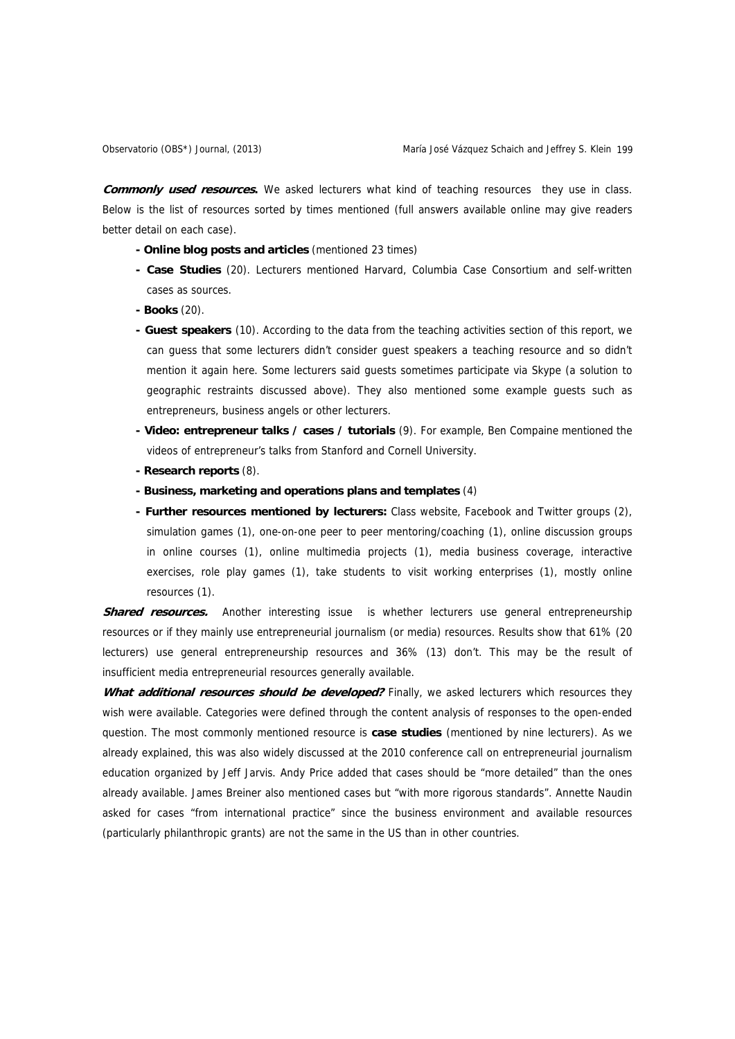**Commonly used resources.** We asked lecturers what kind of teaching resources they use in class. Below is the list of resources sorted by times mentioned (full answers available online may give readers better detail on each case).

- **Online blog posts and articles** (mentioned 23 times)
- **Case Studies** (20). Lecturers mentioned Harvard, Columbia Case Consortium and self-written cases as sources.
- **Books** (20).
- **Guest speakers** (10). According to the data from the teaching activities section of this report, we can guess that some lecturers didn't consider guest speakers a teaching resource and so didn't mention it again here. Some lecturers said guests sometimes participate via Skype (a solution to geographic restraints discussed above). They also mentioned some example guests such as entrepreneurs, business angels or other lecturers.
- **Video: entrepreneur talks / cases / tutorials** (9). For example, Ben Compaine mentioned the videos of entrepreneur's talks from Stanford and Cornell University.
- **Research reports** (8).
- **Business, marketing and operations plans and templates** (4)
- **Further resources mentioned by lecturers:** Class website, Facebook and Twitter groups (2), simulation games (1), one-on-one peer to peer mentoring/coaching (1), online discussion groups in online courses (1), online multimedia projects (1), media business coverage, interactive exercises, role play games (1), take students to visit working enterprises (1), mostly online resources (1).

**Shared resources.** Another interesting issue is whether lecturers use general entrepreneurship resources or if they mainly use entrepreneurial journalism (or media) resources. Results show that 61% (20 lecturers) use general entrepreneurship resources and 36% (13) don't. This may be the result of insufficient media entrepreneurial resources generally available.

**What additional resources should be developed?** Finally, we asked lecturers which resources they wish were available. Categories were defined through the content analysis of responses to the open-ended question. The most commonly mentioned resource is **case studies** (mentioned by nine lecturers). As we already explained, this was also widely discussed at the 2010 conference call on entrepreneurial journalism education organized by Jeff Jarvis. Andy Price added that cases should be "more detailed" than the ones already available. James Breiner also mentioned cases but "with more rigorous standards". Annette Naudin asked for cases "from international practice" since the business environment and available resources (particularly philanthropic grants) are not the same in the US than in other countries.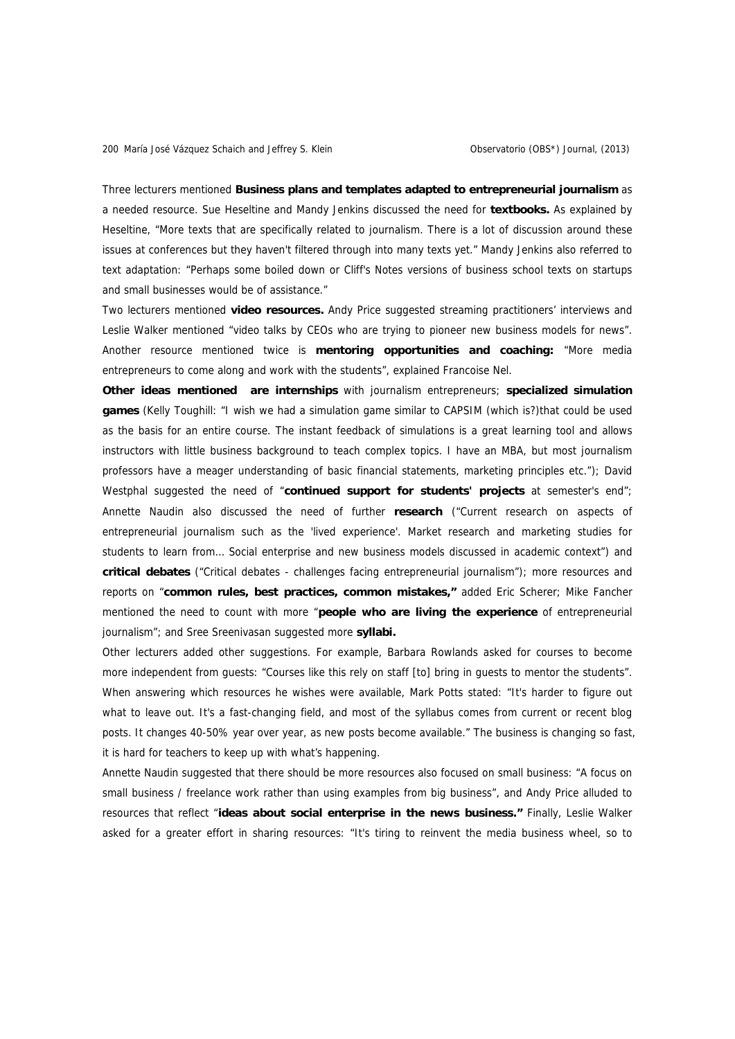Three lecturers mentioned **Business plans and templates adapted to entrepreneurial journalism** as a needed resource. Sue Heseltine and Mandy Jenkins discussed the need for **textbooks.** As explained by Heseltine, "More texts that are specifically related to journalism. There is a lot of discussion around these issues at conferences but they haven't filtered through into many texts yet." Mandy Jenkins also referred to text adaptation: "Perhaps some boiled down or Cliff's Notes versions of business school texts on startups and small businesses would be of assistance."

Two lecturers mentioned **video resources.** Andy Price suggested streaming practitioners' interviews and Leslie Walker mentioned "video talks by CEOs who are trying to pioneer new business models for news". Another resource mentioned twice is **mentoring opportunities and coaching:** "More media entrepreneurs to come along and work with the students", explained Francoise Nel.

**Other ideas mentioned are internships** with journalism entrepreneurs; **specialized simulation games** (Kelly Toughill: "I wish we had a simulation game similar to CAPSIM (which is?)that could be used as the basis for an entire course. The instant feedback of simulations is a great learning tool and allows instructors with little business background to teach complex topics. I have an MBA, but most journalism professors have a meager understanding of basic financial statements, marketing principles etc."); David Westphal suggested the need of "**continued support for students' projects** at semester's end"; Annette Naudin also discussed the need of further **research** ("Current research on aspects of entrepreneurial journalism such as the 'lived experience'. Market research and marketing studies for students to learn from… Social enterprise and new business models discussed in academic context") and **critical debates** ("Critical debates - challenges facing entrepreneurial journalism"); more resources and reports on "**common rules, best practices, common mistakes,"** added Eric Scherer; Mike Fancher mentioned the need to count with more "**people who are living the experience** of entrepreneurial journalism"; and Sree Sreenivasan suggested more **syllabi.** 

Other lecturers added other suggestions. For example, Barbara Rowlands asked for courses to become more independent from guests: "Courses like this rely on staff [to] bring in guests to mentor the students". When answering which resources he wishes were available, Mark Potts stated: "It's harder to figure out what to leave out. It's a fast-changing field, and most of the syllabus comes from current or recent blog posts. It changes 40-50% year over year, as new posts become available." The business is changing so fast, it is hard for teachers to keep up with what's happening.

Annette Naudin suggested that there should be more resources also focused on small business: "A focus on small business / freelance work rather than using examples from big business", and Andy Price alluded to resources that reflect "**ideas about social enterprise in the news business."** Finally, Leslie Walker asked for a greater effort in sharing resources: "It's tiring to reinvent the media business wheel, so to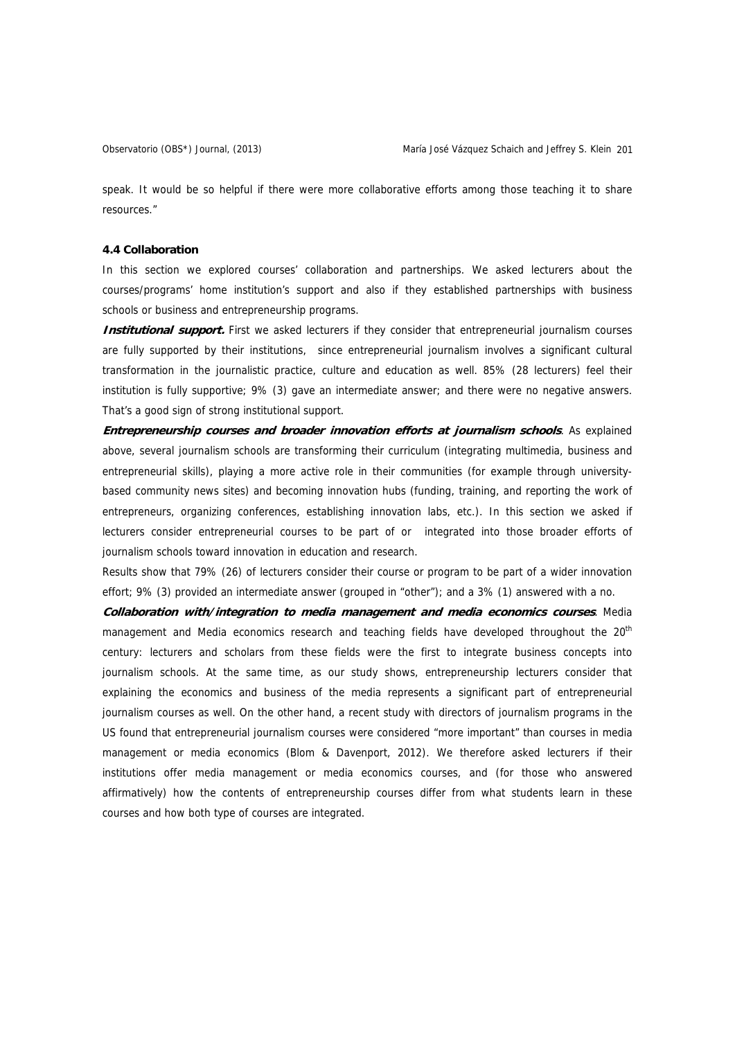speak. It would be so helpful if there were more collaborative efforts among those teaching it to share resources."

## **4.4 Collaboration**

In this section we explored courses' collaboration and partnerships. We asked lecturers about the courses/programs' home institution's support and also if they established partnerships with business schools or business and entrepreneurship programs.

**Institutional support.** First we asked lecturers if they consider that entrepreneurial journalism courses are fully supported by their institutions, since entrepreneurial journalism involves a significant cultural transformation in the journalistic practice, culture and education as well. 85% (28 lecturers) feel their institution is fully supportive; 9% (3) gave an intermediate answer; and there were no negative answers. That's a good sign of strong institutional support.

**Entrepreneurship courses and broader innovation efforts at journalism schools**. As explained above, several journalism schools are transforming their curriculum (integrating multimedia, business and entrepreneurial skills), playing a more active role in their communities (for example through universitybased community news sites) and becoming innovation hubs (funding, training, and reporting the work of entrepreneurs, organizing conferences, establishing innovation labs, etc.). In this section we asked if lecturers consider entrepreneurial courses to be part of or integrated into those broader efforts of journalism schools toward innovation in education and research.

Results show that 79% (26) of lecturers consider their course or program to be part of a wider innovation effort; 9% (3) provided an intermediate answer (grouped in "other"); and a 3% (1) answered with a no.

**Collaboration with/integration to media management and media economics courses**. Media management and Media economics research and teaching fields have developed throughout the 20<sup>th</sup> century: lecturers and scholars from these fields were the first to integrate business concepts into journalism schools. At the same time, as our study shows, entrepreneurship lecturers consider that explaining the economics and business of the media represents a significant part of entrepreneurial journalism courses as well. On the other hand, a recent study with directors of journalism programs in the US found that entrepreneurial journalism courses were considered "more important" than courses in media management or media economics (Blom & Davenport, 2012). We therefore asked lecturers if their institutions offer media management or media economics courses, and (for those who answered affirmatively) how the contents of entrepreneurship courses differ from what students learn in these courses and how both type of courses are integrated.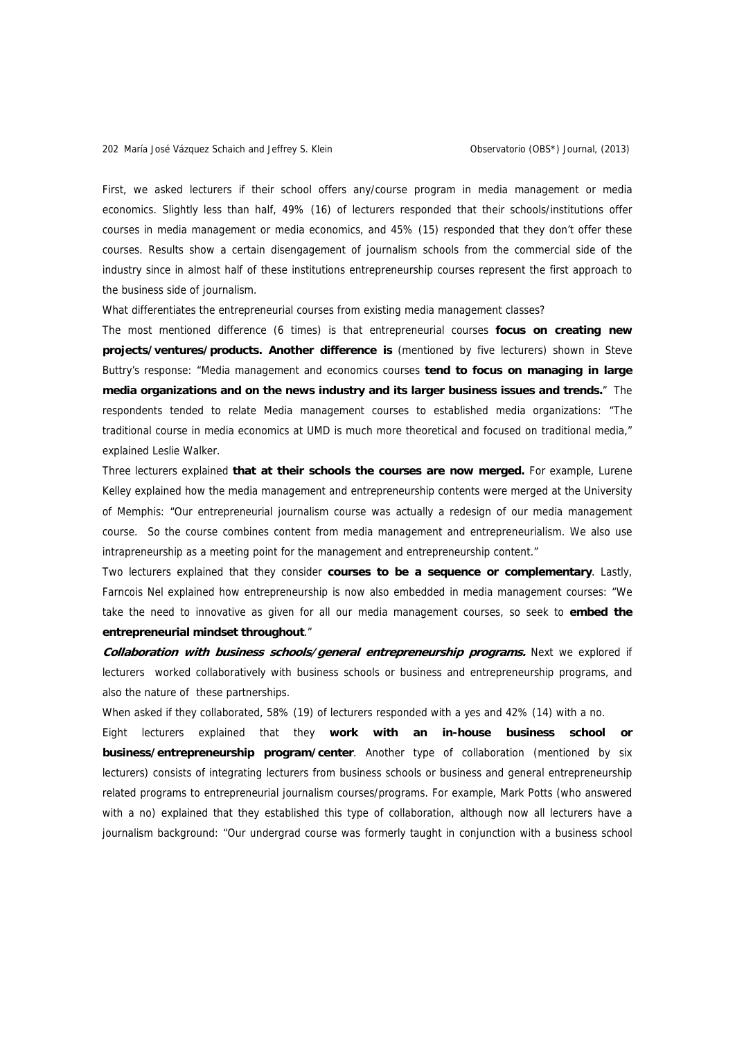First, we asked lecturers if their school offers any/course program in media management or media economics. Slightly less than half, 49% (16) of lecturers responded that their schools/institutions offer courses in media management or media economics, and 45% (15) responded that they don't offer these courses. Results show a certain disengagement of journalism schools from the commercial side of the industry since in almost half of these institutions entrepreneurship courses represent the first approach to the business side of journalism.

What differentiates the entrepreneurial courses from existing media management classes?

The most mentioned difference (6 times) is that entrepreneurial courses **focus on creating new projects/ventures/products. Another difference is** (mentioned by five lecturers) shown in Steve Buttry's response: "Media management and economics courses **tend to focus on managing in large media organizations and on the news industry and its larger business issues and trends.**" The respondents tended to relate Media management courses to established media organizations: "The traditional course in media economics at UMD is much more theoretical and focused on traditional media," explained Leslie Walker.

Three lecturers explained **that at their schools the courses are now merged.** For example, Lurene Kelley explained how the media management and entrepreneurship contents were merged at the University of Memphis: "Our entrepreneurial journalism course was actually a redesign of our media management course. So the course combines content from media management and entrepreneurialism. We also use intrapreneurship as a meeting point for the management and entrepreneurship content."

Two lecturers explained that they consider **courses to be a sequence or complementary**. Lastly, Farncois Nel explained how entrepreneurship is now also embedded in media management courses: "We take the need to innovative as given for all our media management courses, so seek to **embed the entrepreneurial mindset throughout**."

**Collaboration with business schools/general entrepreneurship programs.** Next we explored if lecturers worked collaboratively with business schools or business and entrepreneurship programs, and also the nature of these partnerships.

When asked if they collaborated, 58% (19) of lecturers responded with a yes and 42% (14) with a no.

Eight lecturers explained that they **work with an in-house business school or business/entrepreneurship program/center**. Another type of collaboration (mentioned by six lecturers) consists of integrating lecturers from business schools or business and general entrepreneurship related programs to entrepreneurial journalism courses/programs. For example, Mark Potts (who answered with a no) explained that they established this type of collaboration, although now all lecturers have a journalism background: "Our undergrad course was formerly taught in conjunction with a business school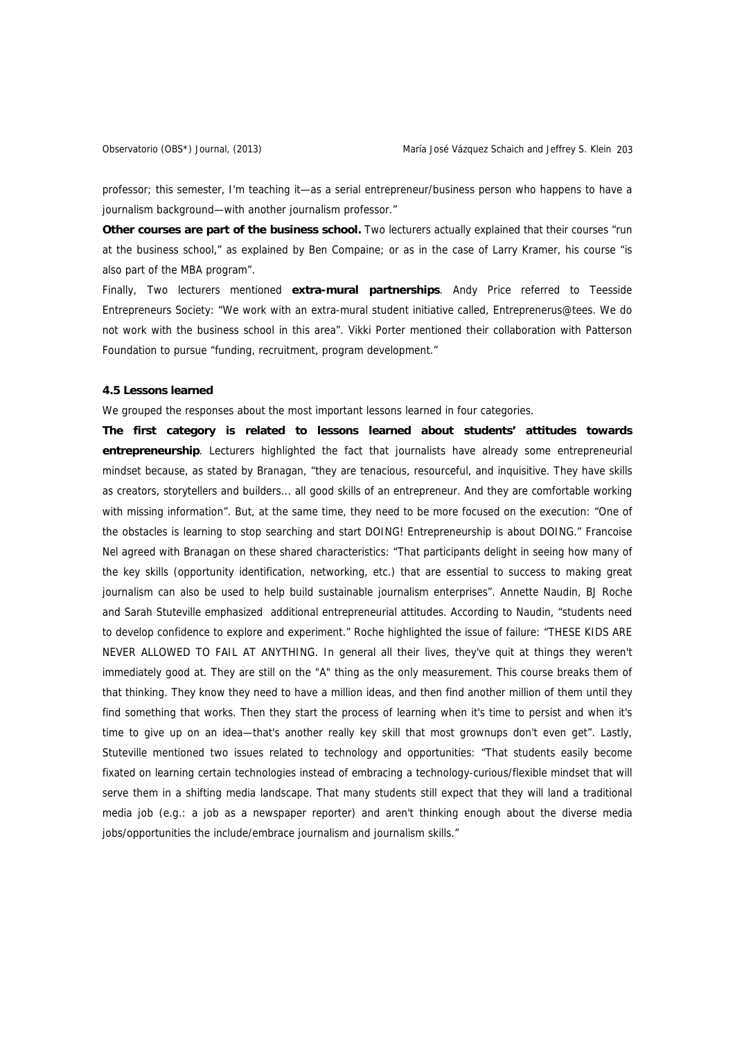professor; this semester, I'm teaching it—as a serial entrepreneur/business person who happens to have a journalism background—with another journalism professor."

**Other courses are part of the business school.** Two lecturers actually explained that their courses "run at the business school," as explained by Ben Compaine; or as in the case of Larry Kramer, his course "is also part of the MBA program".

Finally, Two lecturers mentioned **extra-mural partnerships**. Andy Price referred to Teesside Entrepreneurs Society: "We work with an extra-mural student initiative called, Entreprenerus@tees. We do not work with the business school in this area". Vikki Porter mentioned their collaboration with Patterson Foundation to pursue "funding, recruitment, program development."

#### **4.5 Lessons learned**

We grouped the responses about the most important lessons learned in four categories.

**The first category is related to lessons learned about students' attitudes towards entrepreneurship**. Lecturers highlighted the fact that journalists have already some entrepreneurial mindset because, as stated by Branagan, "they are tenacious, resourceful, and inquisitive. They have skills as creators, storytellers and builders... all good skills of an entrepreneur. And they are comfortable working with missing information". But, at the same time, they need to be more focused on the execution: "One of the obstacles is learning to stop searching and start DOING! Entrepreneurship is about DOING." Francoise Nel agreed with Branagan on these shared characteristics: "That participants delight in seeing how many of the key skills (opportunity identification, networking, etc.) that are essential to success to making great journalism can also be used to help build sustainable journalism enterprises". Annette Naudin, BJ Roche and Sarah Stuteville emphasized additional entrepreneurial attitudes. According to Naudin, "students need to develop confidence to explore and experiment." Roche highlighted the issue of failure: "THESE KIDS ARE NEVER ALLOWED TO FAIL AT ANYTHING. In general all their lives, they've quit at things they weren't immediately good at. They are still on the "A" thing as the only measurement. This course breaks them of that thinking. They know they need to have a million ideas, and then find another million of them until they find something that works. Then they start the process of learning when it's time to persist and when it's time to give up on an idea—that's another really key skill that most grownups don't even get". Lastly, Stuteville mentioned two issues related to technology and opportunities: "That students easily become fixated on learning certain technologies instead of embracing a technology-curious/flexible mindset that will serve them in a shifting media landscape. That many students still expect that they will land a traditional media job (e.g.: a job as a newspaper reporter) and aren't thinking enough about the diverse media jobs/opportunities the include/embrace journalism and journalism skills."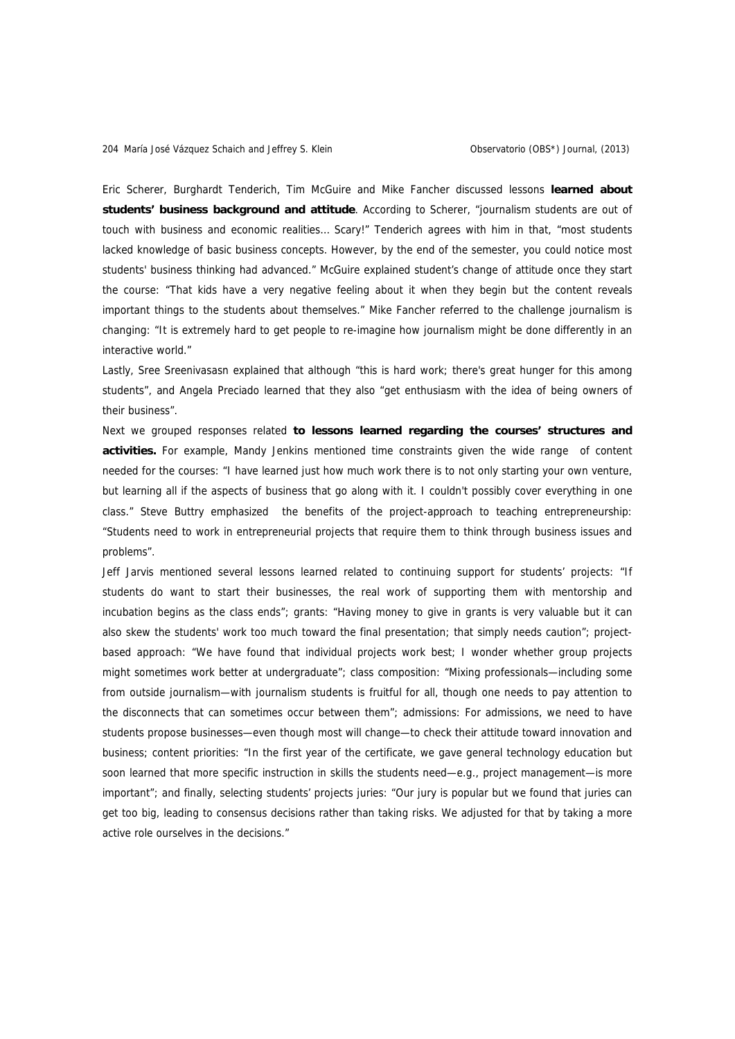Eric Scherer, Burghardt Tenderich, Tim McGuire and Mike Fancher discussed lessons **learned about students' business background and attitude**. According to Scherer, "journalism students are out of touch with business and economic realities… Scary!" Tenderich agrees with him in that, "most students lacked knowledge of basic business concepts. However, by the end of the semester, you could notice most students' business thinking had advanced." McGuire explained student's change of attitude once they start the course: "That kids have a very negative feeling about it when they begin but the content reveals important things to the students about themselves." Mike Fancher referred to the challenge journalism is changing: "It is extremely hard to get people to re-imagine how journalism might be done differently in an interactive world."

Lastly, Sree Sreenivasasn explained that although "this is hard work; there's great hunger for this among students", and Angela Preciado learned that they also "get enthusiasm with the idea of being owners of their business".

Next we grouped responses related **to lessons learned regarding the courses' structures and activities.** For example, Mandy Jenkins mentioned time constraints given the wide range of content needed for the courses: "I have learned just how much work there is to not only starting your own venture, but learning all if the aspects of business that go along with it. I couldn't possibly cover everything in one class." Steve Buttry emphasized the benefits of the project-approach to teaching entrepreneurship: "Students need to work in entrepreneurial projects that require them to think through business issues and problems".

Jeff Jarvis mentioned several lessons learned related to continuing support for students' projects: "If students do want to start their businesses, the real work of supporting them with mentorship and incubation begins as the class ends"; grants: "Having money to give in grants is very valuable but it can also skew the students' work too much toward the final presentation; that simply needs caution"; projectbased approach: "We have found that individual projects work best; I wonder whether group projects might sometimes work better at undergraduate"; class composition: "Mixing professionals—including some from outside journalism—with journalism students is fruitful for all, though one needs to pay attention to the disconnects that can sometimes occur between them"; admissions: For admissions, we need to have students propose businesses—even though most will change—to check their attitude toward innovation and business; content priorities: "In the first year of the certificate, we gave general technology education but soon learned that more specific instruction in skills the students need—e.g., project management—is more important"; and finally, selecting students' projects juries: "Our jury is popular but we found that juries can get too big, leading to consensus decisions rather than taking risks. We adjusted for that by taking a more active role ourselves in the decisions."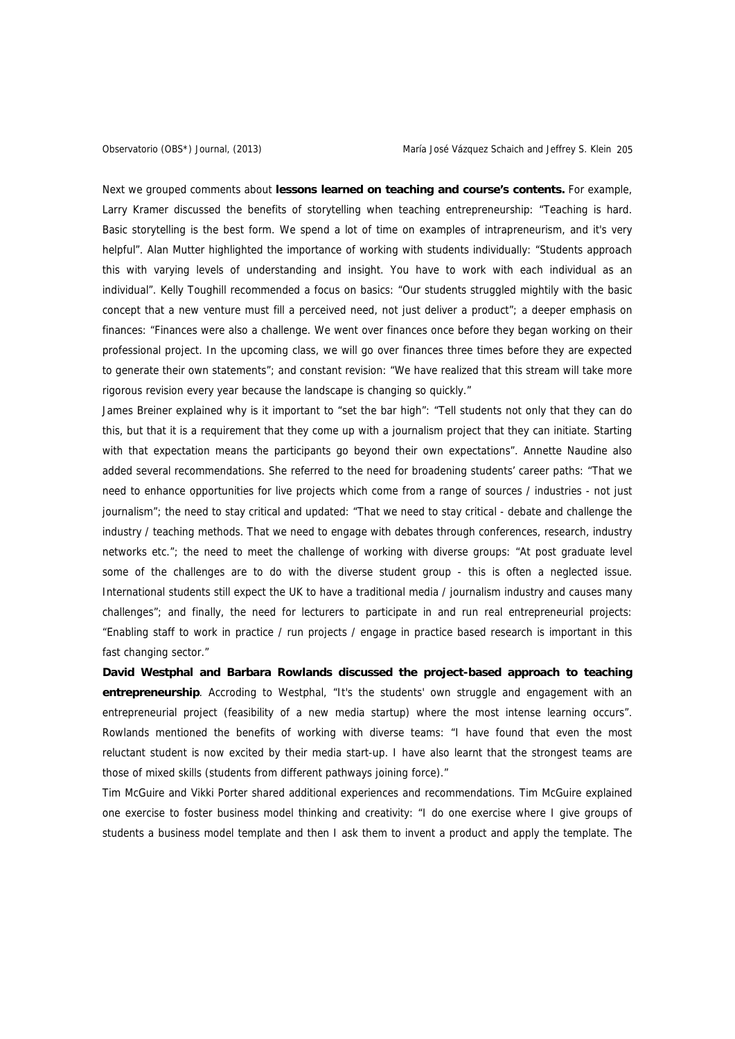Next we grouped comments about **lessons learned on teaching and course's contents.** For example, Larry Kramer discussed the benefits of storytelling when teaching entrepreneurship: "Teaching is hard. Basic storytelling is the best form. We spend a lot of time on examples of intrapreneurism, and it's very helpful". Alan Mutter highlighted the importance of working with students individually: "Students approach this with varying levels of understanding and insight. You have to work with each individual as an individual". Kelly Toughill recommended a focus on basics: "Our students struggled mightily with the basic concept that a new venture must fill a perceived need, not just deliver a product"; a deeper emphasis on finances: "Finances were also a challenge. We went over finances once before they began working on their professional project. In the upcoming class, we will go over finances three times before they are expected to generate their own statements"; and constant revision: "We have realized that this stream will take more rigorous revision every year because the landscape is changing so quickly."

James Breiner explained why is it important to "set the bar high": "Tell students not only that they can do this, but that it is a requirement that they come up with a journalism project that they can initiate. Starting with that expectation means the participants go beyond their own expectations". Annette Naudine also added several recommendations. She referred to the need for broadening students' career paths: "That we need to enhance opportunities for live projects which come from a range of sources / industries - not just journalism"; the need to stay critical and updated: "That we need to stay critical - debate and challenge the industry / teaching methods. That we need to engage with debates through conferences, research, industry networks etc."; the need to meet the challenge of working with diverse groups: "At post graduate level some of the challenges are to do with the diverse student group - this is often a neglected issue. International students still expect the UK to have a traditional media / journalism industry and causes many challenges"; and finally, the need for lecturers to participate in and run real entrepreneurial projects: "Enabling staff to work in practice / run projects / engage in practice based research is important in this fast changing sector."

**David Westphal and Barbara Rowlands discussed the project-based approach to teaching entrepreneurship**. Accroding to Westphal, "It's the students' own struggle and engagement with an entrepreneurial project (feasibility of a new media startup) where the most intense learning occurs". Rowlands mentioned the benefits of working with diverse teams: "I have found that even the most reluctant student is now excited by their media start-up. I have also learnt that the strongest teams are those of mixed skills (students from different pathways joining force)."

Tim McGuire and Vikki Porter shared additional experiences and recommendations. Tim McGuire explained one exercise to foster business model thinking and creativity: "I do one exercise where I give groups of students a business model template and then I ask them to invent a product and apply the template. The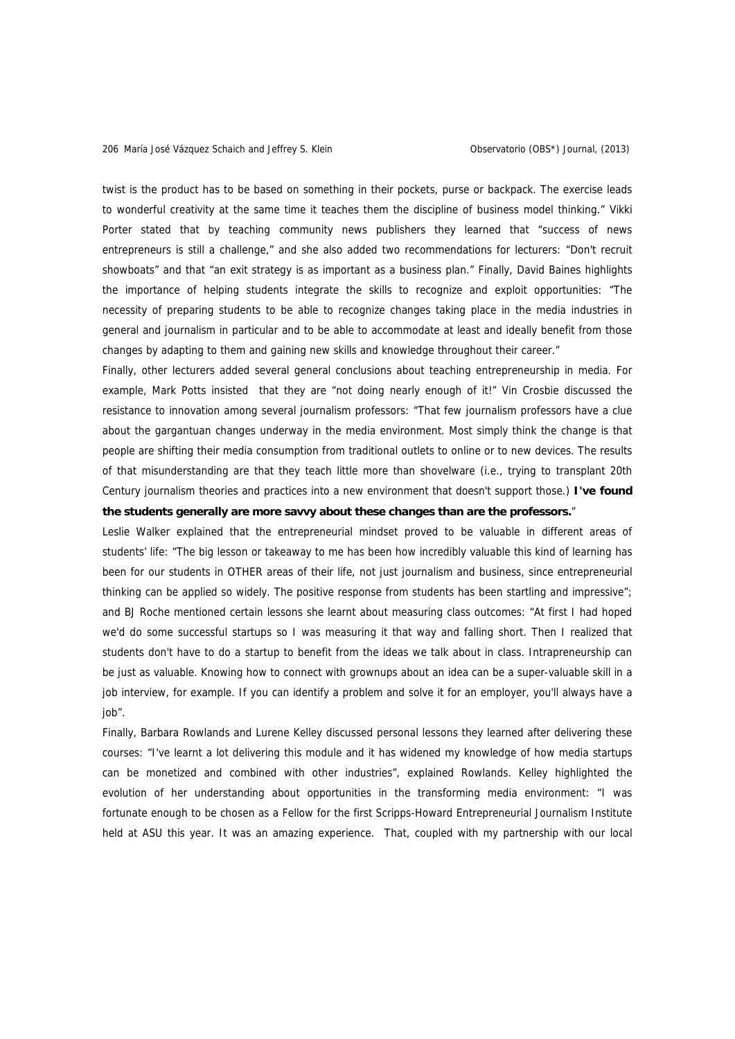twist is the product has to be based on something in their pockets, purse or backpack. The exercise leads to wonderful creativity at the same time it teaches them the discipline of business model thinking." Vikki Porter stated that by teaching community news publishers they learned that "success of news entrepreneurs is still a challenge," and she also added two recommendations for lecturers: "Don't recruit showboats" and that "an exit strategy is as important as a business plan." Finally, David Baines highlights the importance of helping students integrate the skills to recognize and exploit opportunities: "The necessity of preparing students to be able to recognize changes taking place in the media industries in general and journalism in particular and to be able to accommodate at least and ideally benefit from those changes by adapting to them and gaining new skills and knowledge throughout their career."

Finally, other lecturers added several general conclusions about teaching entrepreneurship in media. For example, Mark Potts insisted that they are "not doing nearly enough of it!" Vin Crosbie discussed the resistance to innovation among several journalism professors: "That few journalism professors have a clue about the gargantuan changes underway in the media environment. Most simply think the change is that people are shifting their media consumption from traditional outlets to online or to new devices. The results of that misunderstanding are that they teach little more than shovelware (i.e., trying to transplant 20th Century journalism theories and practices into a new environment that doesn't support those.) **I've found the students generally are more savvy about these changes than are the professors.**"

Leslie Walker explained that the entrepreneurial mindset proved to be valuable in different areas of students' life: "The big lesson or takeaway to me has been how incredibly valuable this kind of learning has been for our students in OTHER areas of their life, not just journalism and business, since entrepreneurial thinking can be applied so widely. The positive response from students has been startling and impressive"; and BJ Roche mentioned certain lessons she learnt about measuring class outcomes: "At first I had hoped we'd do some successful startups so I was measuring it that way and falling short. Then I realized that students don't have to do a startup to benefit from the ideas we talk about in class. Intrapreneurship can be just as valuable. Knowing how to connect with grownups about an idea can be a super-valuable skill in a job interview, for example. If you can identify a problem and solve it for an employer, you'll always have a iob".

Finally, Barbara Rowlands and Lurene Kelley discussed personal lessons they learned after delivering these courses: "I've learnt a lot delivering this module and it has widened my knowledge of how media startups can be monetized and combined with other industries", explained Rowlands. Kelley highlighted the evolution of her understanding about opportunities in the transforming media environment: "I was fortunate enough to be chosen as a Fellow for the first Scripps-Howard Entrepreneurial Journalism Institute held at ASU this year. It was an amazing experience. That, coupled with my partnership with our local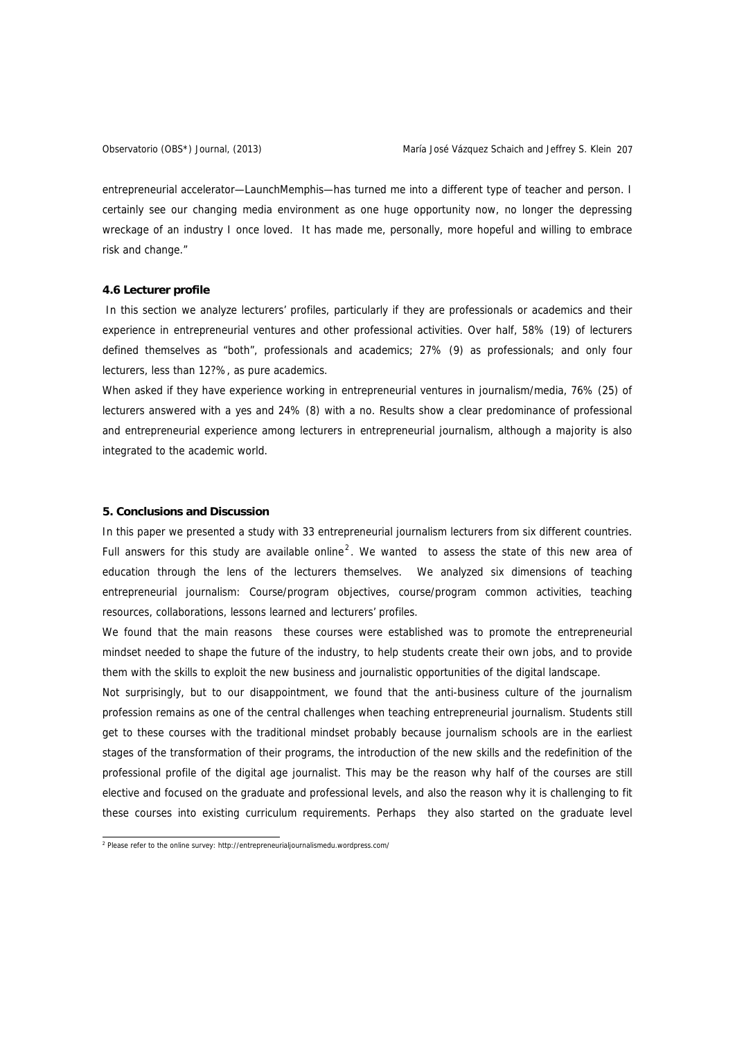entrepreneurial accelerator—LaunchMemphis—has turned me into a different type of teacher and person. I certainly see our changing media environment as one huge opportunity now, no longer the depressing wreckage of an industry I once loved. It has made me, personally, more hopeful and willing to embrace risk and change."

#### **4.6 Lecturer profile**

In this section we analyze lecturers' profiles, particularly if they are professionals or academics and their experience in entrepreneurial ventures and other professional activities. Over half, 58% (19) of lecturers defined themselves as "both", professionals and academics; 27% (9) as professionals; and only four lecturers, less than 12?%, as pure academics.

When asked if they have experience working in entrepreneurial ventures in journalism/media, 76% (25) of lecturers answered with a yes and 24% (8) with a no. Results show a clear predominance of professional and entrepreneurial experience among lecturers in entrepreneurial journalism, although a majority is also integrated to the academic world.

# **5. Conclusions and Discussion**

In this paper we presented a study with 33 entrepreneurial journalism lecturers from six different countries. Full answers for this study are available online<sup>[2](#page-22-0)</sup>. We wanted to assess the state of this new area of education through the lens of the lecturers themselves. We analyzed six dimensions of teaching entrepreneurial journalism: Course/program objectives, course/program common activities, teaching resources, collaborations, lessons learned and lecturers' profiles.

We found that the main reasons these courses were established was to promote the entrepreneurial mindset needed to shape the future of the industry, to help students create their own jobs, and to provide them with the skills to exploit the new business and journalistic opportunities of the digital landscape.

Not surprisingly, but to our disappointment, we found that the anti-business culture of the journalism profession remains as one of the central challenges when teaching entrepreneurial journalism. Students still get to these courses with the traditional mindset probably because journalism schools are in the earliest stages of the transformation of their programs, the introduction of the new skills and the redefinition of the professional profile of the digital age journalist. This may be the reason why half of the courses are still elective and focused on the graduate and professional levels, and also the reason why it is challenging to fit these courses into existing curriculum requirements. Perhaps they also started on the graduate level

<span id="page-22-0"></span><sup>&</sup>lt;sup>2</sup><br>Please refer to the online survey: http://entrepreneurialjournalismedu.wordpress.com/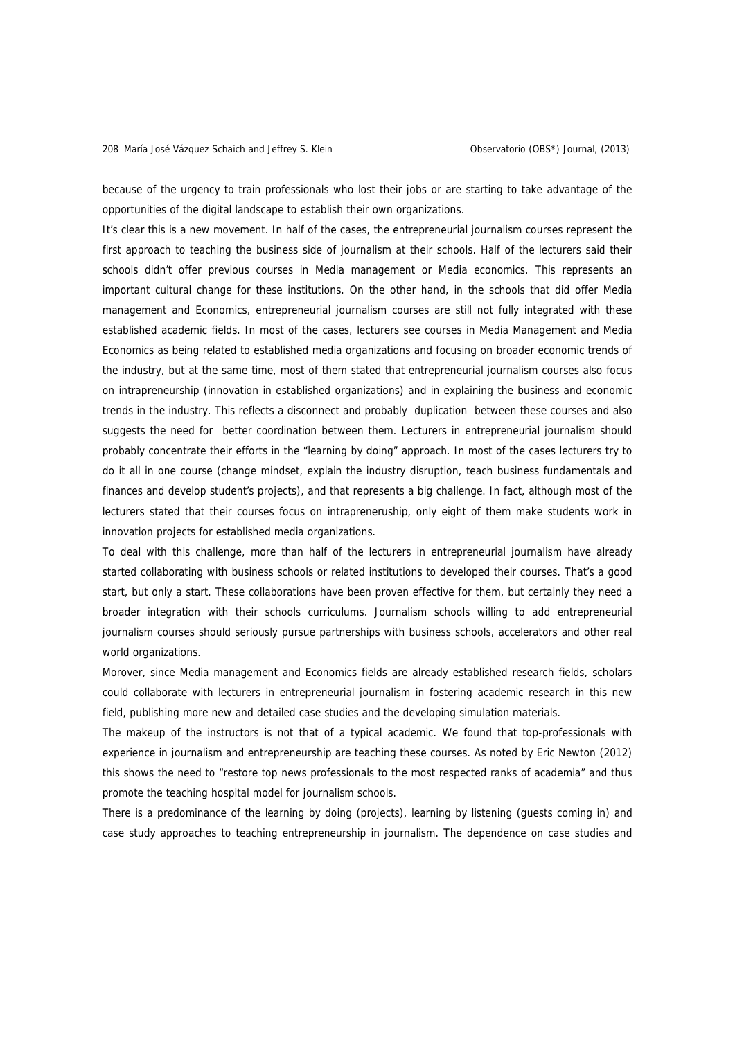because of the urgency to train professionals who lost their jobs or are starting to take advantage of the opportunities of the digital landscape to establish their own organizations.

It's clear this is a new movement. In half of the cases, the entrepreneurial journalism courses represent the first approach to teaching the business side of journalism at their schools. Half of the lecturers said their schools didn't offer previous courses in Media management or Media economics. This represents an important cultural change for these institutions. On the other hand, in the schools that did offer Media management and Economics, entrepreneurial journalism courses are still not fully integrated with these established academic fields. In most of the cases, lecturers see courses in Media Management and Media Economics as being related to established media organizations and focusing on broader economic trends of the industry, but at the same time, most of them stated that entrepreneurial journalism courses also focus on intrapreneurship (innovation in established organizations) and in explaining the business and economic trends in the industry. This reflects a disconnect and probably duplication between these courses and also suggests the need for better coordination between them. Lecturers in entrepreneurial journalism should probably concentrate their efforts in the "learning by doing" approach. In most of the cases lecturers try to do it all in one course (change mindset, explain the industry disruption, teach business fundamentals and finances and develop student's projects), and that represents a big challenge. In fact, although most of the lecturers stated that their courses focus on intrapreneruship, only eight of them make students work in innovation projects for established media organizations.

To deal with this challenge, more than half of the lecturers in entrepreneurial journalism have already started collaborating with business schools or related institutions to developed their courses. That's a good start, but only a start. These collaborations have been proven effective for them, but certainly they need a broader integration with their schools curriculums. Journalism schools willing to add entrepreneurial journalism courses should seriously pursue partnerships with business schools, accelerators and other real world organizations.

Morover, since Media management and Economics fields are already established research fields, scholars could collaborate with lecturers in entrepreneurial journalism in fostering academic research in this new field, publishing more new and detailed case studies and the developing simulation materials.

The makeup of the instructors is not that of a typical academic. We found that top-professionals with experience in journalism and entrepreneurship are teaching these courses. As noted by Eric Newton (2012) this shows the need to "restore top news professionals to the most respected ranks of academia" and thus promote the teaching hospital model for journalism schools.

There is a predominance of the learning by doing (projects), learning by listening (guests coming in) and case study approaches to teaching entrepreneurship in journalism. The dependence on case studies and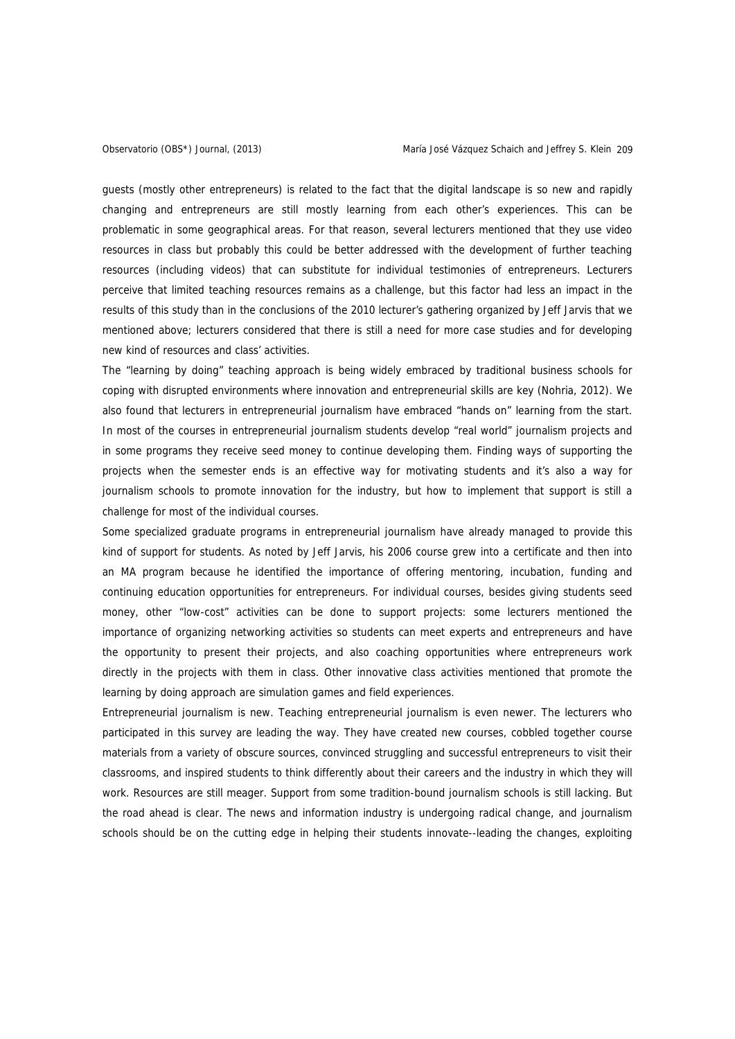guests (mostly other entrepreneurs) is related to the fact that the digital landscape is so new and rapidly changing and entrepreneurs are still mostly learning from each other's experiences. This can be problematic in some geographical areas. For that reason, several lecturers mentioned that they use video resources in class but probably this could be better addressed with the development of further teaching resources (including videos) that can substitute for individual testimonies of entrepreneurs. Lecturers perceive that limited teaching resources remains as a challenge, but this factor had less an impact in the results of this study than in the conclusions of the 2010 lecturer's gathering organized by Jeff Jarvis that we mentioned above; lecturers considered that there is still a need for more case studies and for developing new kind of resources and class' activities.

The "learning by doing" teaching approach is being widely embraced by traditional business schools for coping with disrupted environments where innovation and entrepreneurial skills are key (Nohria, 2012). We also found that lecturers in entrepreneurial journalism have embraced "hands on" learning from the start. In most of the courses in entrepreneurial journalism students develop "real world" journalism projects and in some programs they receive seed money to continue developing them. Finding ways of supporting the projects when the semester ends is an effective way for motivating students and it's also a way for journalism schools to promote innovation for the industry, but how to implement that support is still a challenge for most of the individual courses.

Some specialized graduate programs in entrepreneurial journalism have already managed to provide this kind of support for students. As noted by Jeff Jarvis, his 2006 course grew into a certificate and then into an MA program because he identified the importance of offering mentoring, incubation, funding and continuing education opportunities for entrepreneurs. For individual courses, besides giving students seed money, other "low-cost" activities can be done to support projects: some lecturers mentioned the importance of organizing networking activities so students can meet experts and entrepreneurs and have the opportunity to present their projects, and also coaching opportunities where entrepreneurs work directly in the projects with them in class. Other innovative class activities mentioned that promote the learning by doing approach are simulation games and field experiences.

Entrepreneurial journalism is new. Teaching entrepreneurial journalism is even newer. The lecturers who participated in this survey are leading the way. They have created new courses, cobbled together course materials from a variety of obscure sources, convinced struggling and successful entrepreneurs to visit their classrooms, and inspired students to think differently about their careers and the industry in which they will work. Resources are still meager. Support from some tradition-bound journalism schools is still lacking. But the road ahead is clear. The news and information industry is undergoing radical change, and journalism schools should be on the cutting edge in helping their students innovate--leading the changes, exploiting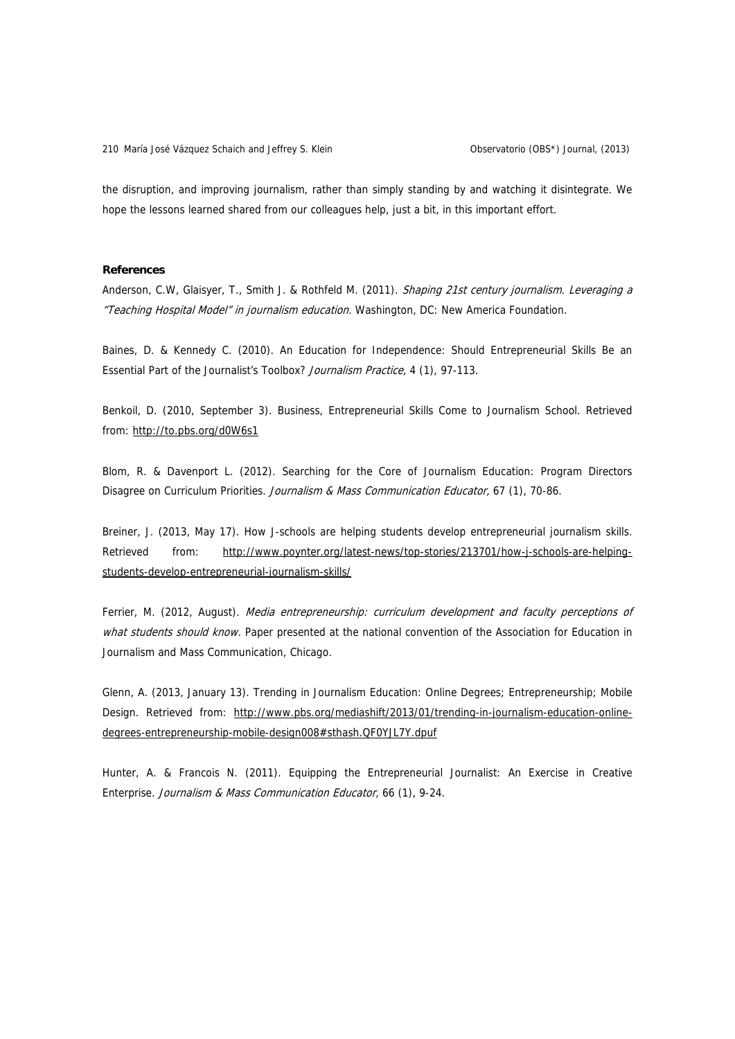the disruption, and improving journalism, rather than simply standing by and watching it disintegrate. We hope the lessons learned shared from our colleagues help, just a bit, in this important effort.

#### **References**

Anderson, C.W, Glaisyer, T., Smith J. & Rothfeld M. (2011). Shaping 21st century journalism. Leveraging a "Teaching Hospital Model" in journalism education. Washington, DC: New America Foundation.

Baines, D. & Kennedy C. (2010). An Education for Independence: Should Entrepreneurial Skills Be an Essential Part of the Journalist's Toolbox? Journalism Practice, 4 (1), 97-113.

Benkoil, D. (2010, September 3). Business, Entrepreneurial Skills Come to Journalism School. Retrieved from: <http://to.pbs.org/d0W6s1>

Blom, R. & Davenport L. (2012). Searching for the Core of Journalism Education: Program Directors Disagree on Curriculum Priorities. Journalism & Mass Communication Educator, 67 (1), 70-86.

Breiner, J. (2013, May 17). How J-schools are helping students develop entrepreneurial journalism skills. Retrieved from: [http://www.poynter.org/latest-news/top-stories/213701/how-j-schools-are-helping](http://www.poynter.org/latest-news/top-stories/213701/how-j-schools-are-helping-students-develop-entrepreneurial-journalism-skills/)[students-develop-entrepreneurial-journalism-skills/](http://www.poynter.org/latest-news/top-stories/213701/how-j-schools-are-helping-students-develop-entrepreneurial-journalism-skills/)

Ferrier, M. (2012, August). Media entrepreneurship: curriculum development and faculty perceptions of what students should know. Paper presented at the national convention of the Association for Education in Journalism and Mass Communication, Chicago.

Glenn, A. (2013, January 13). Trending in Journalism Education: Online Degrees; Entrepreneurship; Mobile Design. Retrieved from: [http://www.pbs.org/mediashift/2013/01/trending-in-journalism-education-online](http://www.pbs.org/mediashift/2013/01/trending-in-journalism-education-online-degrees-entrepreneurship-mobile-design008#sthash.QF0YJL7Y.dpuf)[degrees-entrepreneurship-mobile-design008#sthash.QF0YJL7Y.dpuf](http://www.pbs.org/mediashift/2013/01/trending-in-journalism-education-online-degrees-entrepreneurship-mobile-design008#sthash.QF0YJL7Y.dpuf)

Hunter, A. & Francois N. (2011). Equipping the Entrepreneurial Journalist: An Exercise in Creative Enterprise. Journalism & Mass Communication Educator, 66 (1), 9-24.